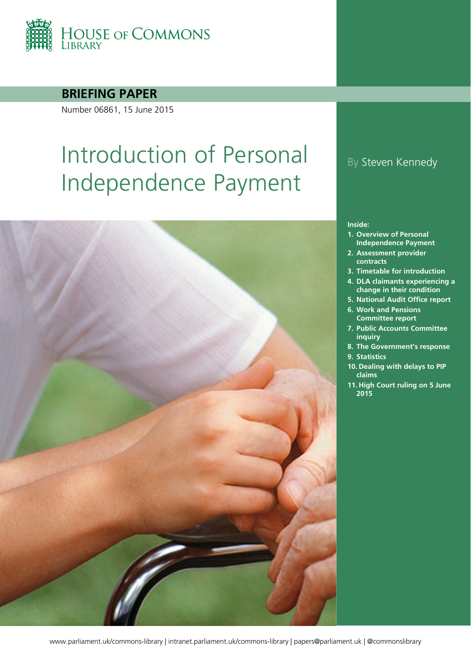

### **BRIEFING PAPER**

Number 06861, 15 June 2015

# Introduction of Personal Independence Payment



### By Steven Kennedy

#### **Inside:**

- **1. [Overview of Personal](#page-4-0)  [Independence Payment](#page-4-0)**
- **2. [Assessment provider](#page-6-0)  [contracts](#page-6-0)**
- **3. [Timetable for introduction](#page-7-0)**
- **4. [DLA claimants experiencing a](#page-9-0)  [change in their condition](#page-9-0)**
- **5. [National Audit Office report](#page-11-0)**
- **6. [Work and Pensions](#page-13-0)  [Committee report](#page-13-0)**
- **7. [Public Accounts Committee](#page-16-0)  [inquiry](#page-16-0)**
- **8. [The Government's response](#page-20-0)**
- **9. [Statistics](#page-25-0)**
- **10. [Dealing with delays to PIP](#page-29-0)  [claims](#page-29-0)**
- **11. [High Court ruling on 5 June](#page-31-0)  [2015](#page-31-0)**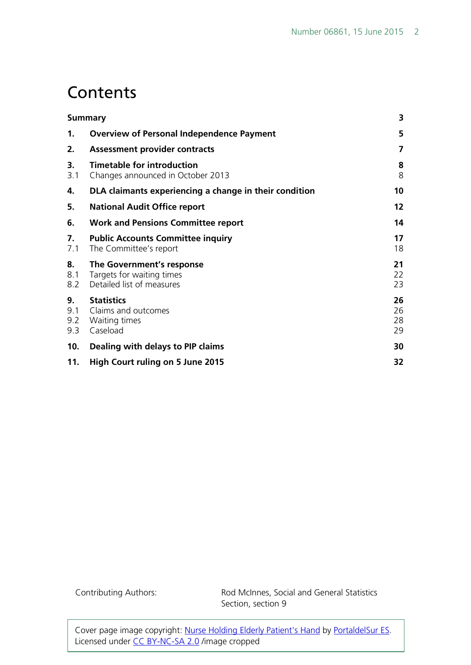### **Contents**

|                         | <b>Summary</b>                                                                      | 3                    |
|-------------------------|-------------------------------------------------------------------------------------|----------------------|
| 1.                      | <b>Overview of Personal Independence Payment</b>                                    | 5                    |
| 2.                      | <b>Assessment provider contracts</b>                                                | 7                    |
| 3.<br>3.1               | <b>Timetable for introduction</b><br>Changes announced in October 2013              | 8<br>8               |
| 4.                      | DLA claimants experiencing a change in their condition                              | 10                   |
| 5.                      | <b>National Audit Office report</b>                                                 | $12 \,$              |
| 6.                      | <b>Work and Pensions Committee report</b>                                           | 14                   |
| 7.<br>7.1               | <b>Public Accounts Committee inquiry</b><br>The Committee's report                  | 17<br>18             |
| 8.<br>8.1<br>8.2        | The Government's response<br>Targets for waiting times<br>Detailed list of measures | 21<br>22<br>23       |
| 9.<br>9.1<br>9.2<br>9.3 | <b>Statistics</b><br>Claims and outcomes<br>Waiting times<br>Caseload               | 26<br>26<br>28<br>29 |
| 10.                     | Dealing with delays to PIP claims                                                   | 30                   |
| 11.                     | <b>High Court ruling on 5 June 2015</b>                                             | 32                   |

Contributing Authors: Rod McInnes, Social and General Statistics Section, section 9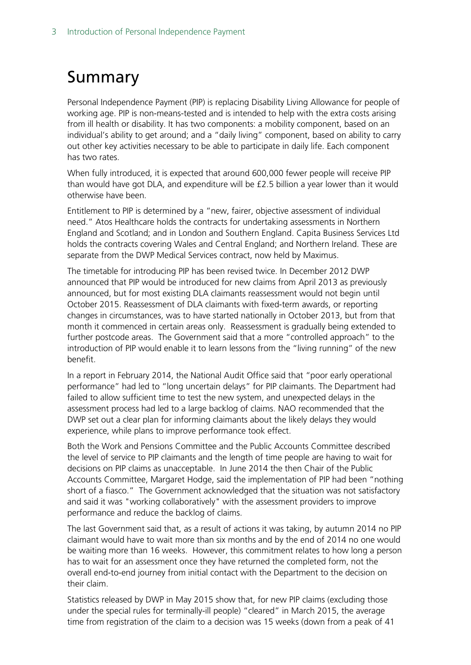## <span id="page-2-0"></span>Summary

Personal Independence Payment (PIP) is replacing Disability Living Allowance for people of working age. PIP is non-means-tested and is intended to help with the extra costs arising from ill health or disability. It has two components: a mobility component, based on an individual's ability to get around; and a "daily living" component, based on ability to carry out other key activities necessary to be able to participate in daily life. Each component has two rates.

When fully introduced, it is expected that around 600,000 fewer people will receive PIP than would have got DLA, and expenditure will be £2.5 billion a year lower than it would otherwise have been.

Entitlement to PIP is determined by a "new, fairer, objective assessment of individual need." Atos Healthcare holds the contracts for undertaking assessments in Northern England and Scotland; and in London and Southern England. Capita Business Services Ltd holds the contracts covering Wales and Central England; and Northern Ireland. These are separate from the DWP Medical Services contract, now held by Maximus.

The timetable for introducing PIP has been revised twice. In December 2012 DWP announced that PIP would be introduced for new claims from April 2013 as previously announced, but for most existing DLA claimants reassessment would not begin until October 2015. Reassessment of DLA claimants with fixed-term awards, or reporting changes in circumstances, was to have started nationally in October 2013, but from that month it commenced in certain areas only. Reassessment is gradually being extended to further postcode areas. The Government said that a more "controlled approach" to the introduction of PIP would enable it to learn lessons from the "living running" of the new benefit.

In a report in February 2014, the National Audit Office said that "poor early operational performance" had led to "long uncertain delays" for PIP claimants. The Department had failed to allow sufficient time to test the new system, and unexpected delays in the assessment process had led to a large backlog of claims. NAO recommended that the DWP set out a clear plan for informing claimants about the likely delays they would experience, while plans to improve performance took effect.

Both the Work and Pensions Committee and the Public Accounts Committee described the level of service to PIP claimants and the length of time people are having to wait for decisions on PIP claims as unacceptable. In June 2014 the then Chair of the Public Accounts Committee, Margaret Hodge, said the implementation of PIP had been "nothing short of a fiasco." The Government acknowledged that the situation was not satisfactory and said it was "working collaboratively" with the assessment providers to improve performance and reduce the backlog of claims.

The last Government said that, as a result of actions it was taking, by autumn 2014 no PIP claimant would have to wait more than six months and by the end of 2014 no one would be waiting more than 16 weeks. However, this commitment relates to how long a person has to wait for an assessment once they have returned the completed form, not the overall end-to-end journey from initial contact with the Department to the decision on their claim.

Statistics released by DWP in May 2015 show that, for new PIP claims (excluding those under the special rules for terminally-ill people) "cleared" in March 2015, the average time from registration of the claim to a decision was 15 weeks (down from a peak of 41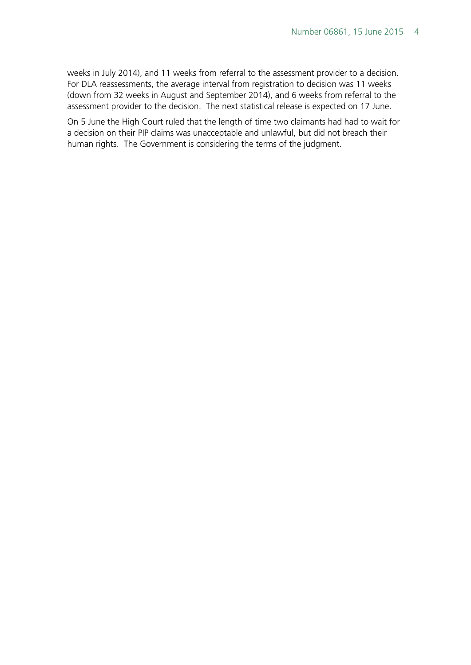weeks in July 2014), and 11 weeks from referral to the assessment provider to a decision. For DLA reassessments, the average interval from registration to decision was 11 weeks (down from 32 weeks in August and September 2014), and 6 weeks from referral to the assessment provider to the decision. The next statistical release is expected on 17 June.

On 5 June the High Court ruled that the length of time two claimants had had to wait for a decision on their PIP claims was unacceptable and unlawful, but did not breach their human rights. The Government is considering the terms of the judgment.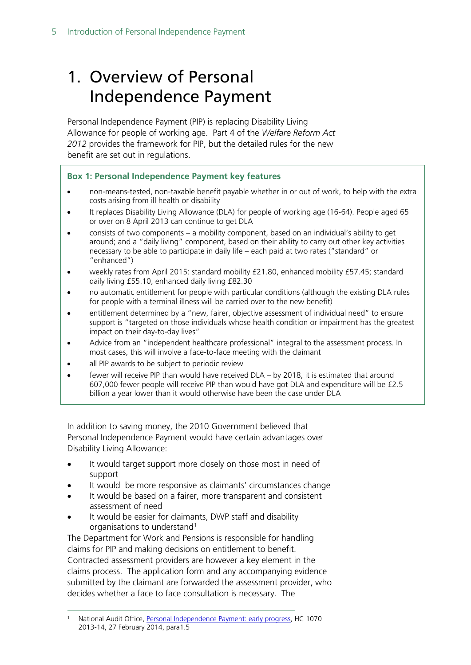## <span id="page-4-0"></span>1. Overview of Personal Independence Payment

Personal Independence Payment (PIP) is replacing Disability Living Allowance for people of working age. Part 4 of the *Welfare Reform Act 2012* provides the framework for PIP, but the detailed rules for the new benefit are set out in regulations.

#### **Box 1: Personal Independence Payment key features**

- non-means-tested, non-taxable benefit payable whether in or out of work, to help with the extra costs arising from ill health or disability
- It replaces Disability Living Allowance (DLA) for people of working age (16-64). People aged 65 or over on 8 April 2013 can continue to get DLA
- consists of two components a mobility component, based on an individual's ability to get around; and a "daily living" component, based on their ability to carry out other key activities necessary to be able to participate in daily life – each paid at two rates ("standard" or "enhanced")
- weekly rates from April 2015: standard mobility £21.80, enhanced mobility £57.45; standard daily living £55.10, enhanced daily living £82.30
- no automatic entitlement for people with particular conditions (although the existing DLA rules for people with a terminal illness will be carried over to the new benefit)
- entitlement determined by a "new, fairer, objective assessment of individual need" to ensure support is "targeted on those individuals whose health condition or impairment has the greatest impact on their day-to-day lives"
- Advice from an "independent healthcare professional" integral to the assessment process. In most cases, this will involve a face-to-face meeting with the claimant
- all PIP awards to be subject to periodic review
- fewer will receive PIP than would have received DLA by 2018, it is estimated that around 607,000 fewer people will receive PIP than would have got DLA and expenditure will be £2.5 billion a year lower than it would otherwise have been the case under DLA

In addition to saving money, the 2010 Government believed that Personal Independence Payment would have certain advantages over Disability Living Allowance:

- It would target support more closely on those most in need of support
- It would be more responsive as claimants' circumstances change
- It would be based on a fairer, more transparent and consistent assessment of need
- It would be easier for claimants, DWP staff and disability organisations to understand<sup>[1](#page-4-1)</sup>

The Department for Work and Pensions is responsible for handling claims for PIP and making decisions on entitlement to benefit. Contracted assessment providers are however a key element in the claims process. The application form and any accompanying evidence submitted by the claimant are forwarded the assessment provider, who decides whether a face to face consultation is necessary. The

<span id="page-4-1"></span><sup>1</sup> National Audit Office, [Personal Independence Payment: early progress,](http://www.nao.org.uk/report/personal-independence-payments-pip/) HC 1070 2013-14, 27 February 2014, para1.5 -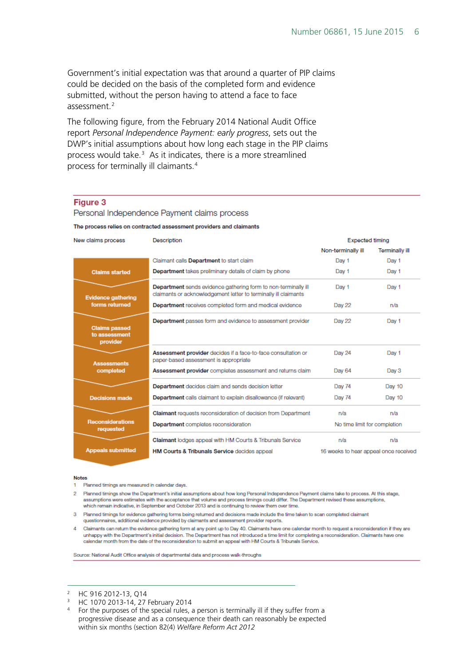Government's initial expectation was that around a quarter of PIP claims could be decided on the basis of the completed form and evidence submitted, without the person having to attend a face to face assessment.<sup>[2](#page-5-0)</sup>

The following figure, from the February 2014 National Audit Office report *Personal Independence Payment: early progress*, sets out the DWP's initial assumptions about how long each stage in the PIP claims process would take.<sup>[3](#page-5-1)</sup> As it indicates, there is a more streamlined process for terminally ill claimants.[4](#page-5-2)

#### Figure 3

#### Personal Independence Payment claims process

#### The process relies on contracted assessment providers and claimants

| New claims process                                | <b>Description</b>                                                                                                                | <b>Expected timing</b>                |                       |  |  |
|---------------------------------------------------|-----------------------------------------------------------------------------------------------------------------------------------|---------------------------------------|-----------------------|--|--|
|                                                   |                                                                                                                                   | Non-terminally ill                    | <b>Terminally ill</b> |  |  |
|                                                   | Claimant calls Department to start claim                                                                                          | Day 1                                 | Day 1                 |  |  |
| <b>Claims started</b>                             | Department takes preliminary details of claim by phone                                                                            | Day 1                                 | Day 1                 |  |  |
| <b>Evidence gathering</b>                         | Department sends evidence gathering form to non-terminally ill<br>claimants or acknowledgement letter to terminally ill claimants | Day 1                                 | Day 1                 |  |  |
| forms returned                                    | Department receives completed form and medical evidence                                                                           | <b>Day 22</b>                         | n/a                   |  |  |
| <b>Claims passed</b><br>to assessment<br>provider | Department passes form and evidence to assessment provider                                                                        | <b>Day 22</b>                         | Day 1                 |  |  |
| <b>Assessments</b>                                | Assessment provider decides if a face-to-face consultation or<br>paper-based assessment is appropriate                            | Day 24                                | Dav <sub>1</sub>      |  |  |
| completed                                         | Assessment provider completes assessment and returns claim                                                                        | Day 64                                | Day 3                 |  |  |
|                                                   | Department decides claim and sends decision letter                                                                                | Day 74                                | Day 10                |  |  |
| <b>Decisions made</b>                             | Department calls claimant to explain disallowance (if relevant)                                                                   | Day 74                                | Day 10                |  |  |
|                                                   | Claimant requests reconsideration of decision from Department                                                                     | n/a                                   | n/a                   |  |  |
| <b>Reconsiderations</b><br>requested              | Department completes reconsideration                                                                                              | No time limit for completion          |                       |  |  |
|                                                   | Claimant lodges appeal with HM Courts & Tribunals Service                                                                         | n/a                                   | n/a                   |  |  |
| <b>Appeals submitted</b>                          | HM Courts & Tribunals Service decides appeal                                                                                      | 16 weeks to hear appeal once received |                       |  |  |

#### **Notes**

- 1 Planned timings are measured in calendar days.
- 2 Planned timings show the Department's initial assumptions about how long Personal Independence Payment claims take to process. At this stage, assumptions were estimates with the acceptance that volume and process timings could differ. The Department revised these assumptions, which remain indicative, in September and October 2013 and is continuing to review them over time.
- 3 Planned timings for evidence gathering forms being returned and decisions made include the time taken to scan completed claimant questionnaires, additional evidence provided by claimants and assessment provider reports.
- 4 Claimants can return the evidence gathering form at any point up to Day 40. Claimants have one calendar month to request a reconsideration if they are unhappy with the Department's initial decision. The Department has not introduced a time limit for completing a reconsideration. Claimants have one calendar month from the date of the reconsideration to submit an appeal with HM Courts & Tribunals Service.

Source: National Audit Office analysis of departmental data and process walk-throughs

<span id="page-5-0"></span><sup>2</sup> HC 916 2012-13, Q14  $\overline{a}$ 

<span id="page-5-1"></span><sup>3</sup> HC 1070 2013-14, 27 February 2014

<span id="page-5-2"></span><sup>&</sup>lt;sup>4</sup> For the purposes of the special rules, a person is terminally ill if they suffer from a progressive disease and as a consequence their death can reasonably be expected within six months (section 82(4) *Welfare Reform Act 2012*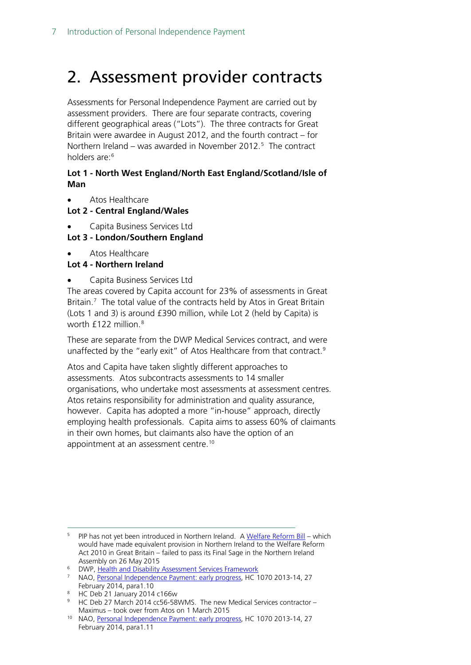## <span id="page-6-0"></span>2. Assessment provider contracts

Assessments for Personal Independence Payment are carried out by assessment providers. There are four separate contracts, covering different geographical areas ("Lots"). The three contracts for Great Britain were awardee in August 2012, and the fourth contract – for Northern Ireland – was awarded in November 2012.<sup>[5](#page-6-1)</sup> The contract holders are:<sup>[6](#page-6-2)</sup>

### **Lot 1 - North West England/North East England/Scotland/Isle of Man**

• Atos Healthcare

### **Lot 2 - Central England/Wales**

• Capita Business Services Ltd

### **Lot 3 - London/Southern England**

• Atos Healthcare

#### **Lot 4 - Northern Ireland**

• Capita Business Services Ltd

The areas covered by Capita account for 23% of assessments in Great Britain.<sup>[7](#page-6-3)</sup> The total value of the contracts held by Atos in Great Britain (Lots 1 and 3) is around £390 million, while Lot 2 (held by Capita) is worth £122 million.<sup>[8](#page-6-4)</sup>

These are separate from the DWP Medical Services contract, and were unaffected by the "early exit" of Atos Healthcare from that contract.<sup>[9](#page-6-5)</sup>

Atos and Capita have taken slightly different approaches to assessments. Atos subcontracts assessments to 14 smaller organisations, who undertake most assessments at assessment centres. Atos retains responsibility for administration and quality assurance, however. Capita has adopted a more "in-house" approach, directly employing health professionals. Capita aims to assess 60% of claimants in their own homes, but claimants also have the option of an appointment at an assessment centre.<sup>[10](#page-6-6)</sup>

<span id="page-6-4"></span><sup>8</sup> HC Deb 21 January 2014 c166w

<span id="page-6-1"></span><sup>&</sup>lt;sup>5</sup> PIP has not yet been introduced in Northern Ireland. A [Welfare Reform Bill](http://www.niassembly.gov.uk/assembly-business/legislation/primary-legislation-current-bills/welfare-reform-bill/) – which would have made equivalent provision in Northern Ireland to the Welfare Reform Act 2010 in Great Britain – failed to pass its Final Sage in the Northern Ireland Assembly on 26 May 2015  $\overline{a}$ 

<span id="page-6-2"></span><sup>6</sup> DWP, [Health and Disability Assessment Services Framework](https://www.gov.uk/government/uploads/system/uploads/attachment_data/file/261977/health-and_disability-assessment-services-framework.pdf)

<span id="page-6-3"></span><sup>&</sup>lt;sup>7</sup> NAO, [Personal Independence Payment: early progress,](http://www.nao.org.uk/report/personal-independence-payments-pip/) HC 1070 2013-14, 27 February 2014, para1.10

<span id="page-6-5"></span><sup>&</sup>lt;sup>9</sup> HC Deb 27 March 2014 cc56-58WMS. The new Medical Services contractor – Maximus – took over from Atos on 1 March 2015

<span id="page-6-6"></span><sup>&</sup>lt;sup>10</sup> NAO, [Personal Independence Payment: early progress,](http://www.nao.org.uk/report/personal-independence-payments-pip/) HC 1070 2013-14, 27 February 2014, para1.11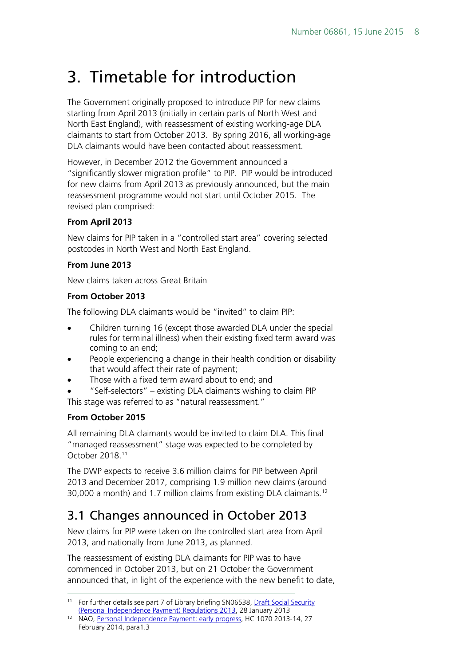## <span id="page-7-0"></span>3. Timetable for introduction

The Government originally proposed to introduce PIP for new claims starting from April 2013 (initially in certain parts of North West and North East England), with reassessment of existing working-age DLA claimants to start from October 2013. By spring 2016, all working-age DLA claimants would have been contacted about reassessment.

However, in December 2012 the Government announced a "significantly slower migration profile" to PIP. PIP would be introduced for new claims from April 2013 as previously announced, but the main reassessment programme would not start until October 2015. The revised plan comprised:

### **From April 2013**

New claims for PIP taken in a "controlled start area" covering selected postcodes in North West and North East England.

### **From June 2013**

New claims taken across Great Britain

### **From October 2013**

The following DLA claimants would be "invited" to claim PIP:

- Children turning 16 (except those awarded DLA under the special rules for terminal illness) when their existing fixed term award was coming to an end;
- People experiencing a change in their health condition or disability that would affect their rate of payment;
- Those with a fixed term award about to end; and
- "Self-selectors" existing DLA claimants wishing to claim PIP This stage was referred to as "natural reassessment."

### **From October 2015**

-

All remaining DLA claimants would be invited to claim DLA. This final "managed reassessment" stage was expected to be completed by October 2018.[11](#page-7-2)

The DWP expects to receive 3.6 million claims for PIP between April 2013 and December 2017, comprising 1.9 million new claims (around 30,000 a month) and 1.7 million claims from existing DLA claimants.[12](#page-7-3)

### <span id="page-7-1"></span>3.1 Changes announced in October 2013

New claims for PIP were taken on the controlled start area from April 2013, and nationally from June 2013, as planned.

The reassessment of existing DLA claimants for PIP was to have commenced in October 2013, but on 21 October the Government announced that, in light of the experience with the new benefit to date,

<span id="page-7-2"></span><sup>&</sup>lt;sup>11</sup> For further details see part 7 of Library briefing SN06538, Draft Social Security [\(Personal Independence Payment\) Regulations 2013,](http://www.parliament.uk/briefing-papers/SN06538/draft-social-security-personal-independence-payment-regulations-2013) 28 January 2013

<span id="page-7-3"></span><sup>&</sup>lt;sup>12</sup> NAO, [Personal Independence Payment:](http://www.nao.org.uk/report/personal-independence-payments-pip/) early progress, HC 1070 2013-14, 27 February 2014, para1.3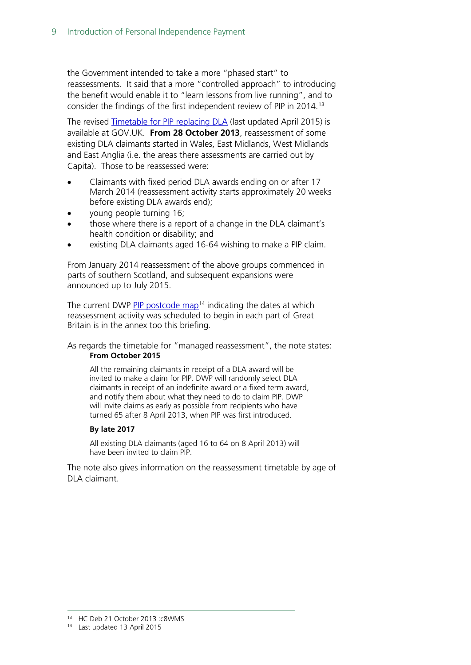the Government intended to take a more "phased start" to reassessments. It said that a more "controlled approach" to introducing the benefit would enable it to "learn lessons from live running", and to consider the findings of the first independent review of PIP in 2014.[13](#page-8-0)

The revised [Timetable for PIP replacing DLA](https://www.gov.uk/government/publications/timetable-for-pip-replacing-dla) (last updated April 2015) is available at GOV.UK. **From 28 October 2013**, reassessment of some existing DLA claimants started in Wales, East Midlands, West Midlands and East Anglia (i.e. the areas there assessments are carried out by Capita). Those to be reassessed were:

- Claimants with fixed period DLA awards ending on or after 17 March 2014 (reassessment activity starts approximately 20 weeks before existing DLA awards end);
- young people turning 16;
- those where there is a report of a change in the DLA claimant's health condition or disability; and
- existing DLA claimants aged 16-64 wishing to make a PIP claim.

From January 2014 reassessment of the above groups commenced in parts of southern Scotland, and subsequent expansions were announced up to July 2015.

The current DWP [PIP postcode map](https://www.gov.uk/government/publications/pip-postcode-map-uk)<sup>[14](#page-8-1)</sup> indicating the dates at which reassessment activity was scheduled to begin in each part of Great Britain is in the annex too this briefing.

As regards the timetable for "managed reassessment", the note states: **From October 2015**

All the remaining claimants in receipt of a DLA award will be invited to make a claim for PIP. DWP will randomly select DLA claimants in receipt of an indefinite award or a fixed term award, and notify them about what they need to do to claim PIP. DWP will invite claims as early as possible from recipients who have turned 65 after 8 April 2013, when PIP was first introduced.

#### **By late 2017**

All existing DLA claimants (aged 16 to 64 on 8 April 2013) will have been invited to claim PIP.

The note also gives information on the reassessment timetable by age of DLA claimant.

-

<span id="page-8-0"></span><sup>13</sup> HC Deb 21 October 2013 :c8WMS

<span id="page-8-1"></span><sup>14</sup> Last updated 13 April 2015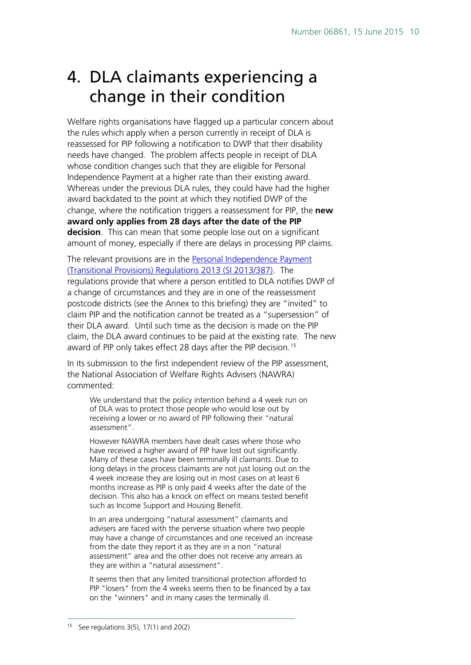### <span id="page-9-0"></span>4. DLA claimants experiencing a change in their condition

Welfare rights organisations have flagged up a particular concern about the rules which apply when a person currently in receipt of DLA is reassessed for PIP following a notification to DWP that their disability needs have changed. The problem affects people in receipt of DLA whose condition changes such that they are eligible for Personal Independence Payment at a higher rate than their existing award. Whereas under the previous DLA rules, they could have had the higher award backdated to the point at which they notified DWP of the change, where the notification triggers a reassessment for PIP, the **new award only applies from 28 days after the date of the PIP decision**. This can mean that some people lose out on a significant amount of money, especially if there are delays in processing PIP claims.

The relevant provisions are in the [Personal Independence Payment](http://www.legislation.gov.uk/uksi/2013/387/contents)  [\(Transitional Provisions\) Regulations 2013 \(SI 2013/387\).](http://www.legislation.gov.uk/uksi/2013/387/contents) The regulations provide that where a person entitled to DLA notifies DWP of a change of circumstances and they are in one of the reassessment postcode districts (see the Annex to this briefing) they are "invited" to claim PIP and the notification cannot be treated as a "supersession" of their DLA award. Until such time as the decision is made on the PIP claim, the DLA award continues to be paid at the existing rate. The new award of PIP only takes effect 28 days after the PIP decision.<sup>[15](#page-9-1)</sup>

In its submission to the first independent review of the PIP assessment, the National Association of Welfare Rights Advisers (NAWRA) commented:

We understand that the policy intention behind a 4 week run on of DLA was to protect those people who would lose out by receiving a lower or no award of PIP following their "natural assessment".

However NAWRA members have dealt cases where those who have received a higher award of PIP have lost out significantly. Many of these cases have been terminally ill claimants. Due to long delays in the process claimants are not just losing out on the 4 week increase they are losing out in most cases on at least 6 months increase as PIP is only paid 4 weeks after the date of the decision. This also has a knock on effect on means tested benefit such as Income Support and Housing Benefit.

In an area undergoing "natural assessment" claimants and advisers are faced with the perverse situation where two people may have a change of circumstances and one received an increase from the date they report it as they are in a non "natural assessment" area and the other does not receive any arrears as they are within a "natural assessment".

<span id="page-9-1"></span>It seems then that any limited transitional protection afforded to PIP "losers" from the 4 weeks seems then to be financed by a tax on the "winners" and in many cases the terminally ill.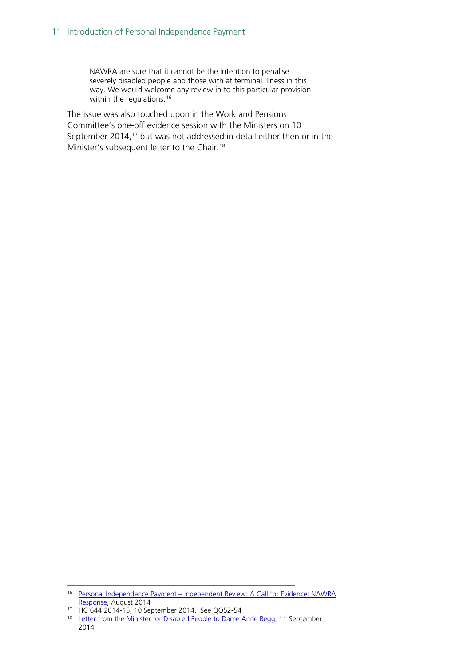NAWRA are sure that it cannot be the intention to penalise severely disabled people and those with at terminal illness in this way. We would welcome any review in to this particular provision within the regulations.<sup>[16](#page-10-0)</sup>

The issue was also touched upon in the Work and Pensions Committee's one-off evidence session with the Ministers on 10 September 2014,<sup>[17](#page-10-1)</sup> but was not addressed in detail either then or in the Minister's subsequent letter to the Chair.<sup>18</sup>

<span id="page-10-0"></span><sup>&</sup>lt;sup>16</sup> Personal Independence Payment – Independent Review: A Call for Evidence: NAWRA [Response,](http://www.nawra.org.uk/wordpress/wordpress/wp-content/uploads/2012/03/PIP-NAWRA-response-Sept-2014.pdf) August 2014  $\overline{a}$ 

<span id="page-10-1"></span><sup>17</sup> HC 644 2014-15, 10 September 2014. See QQ52-54

<span id="page-10-2"></span><sup>&</sup>lt;sup>18</sup> [Letter from the Minister for Disabled People to Dame Anne Begg,](http://data.parliament.uk/writtenevidence/committeeevidence.svc/evidencedocument/work-and-pensions-committee/progress-with-personal-independence-payment-implementation/written/13403.html) 11 September 2014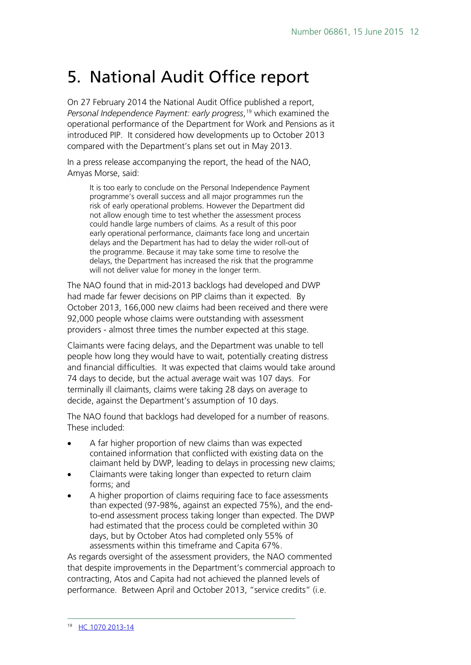## <span id="page-11-0"></span>5. National Audit Office report

On 27 February 2014 the National Audit Office published a report, *Personal Independence Payment: early progress*, [19](#page-11-1) which examined the operational performance of the Department for Work and Pensions as it introduced PIP. It considered how developments up to October 2013 compared with the Department's plans set out in May 2013.

In a press release accompanying the report, the head of the NAO, Amyas Morse, said:

It is too early to conclude on the Personal Independence Payment programme's overall success and all major programmes run the risk of early operational problems. However the Department did not allow enough time to test whether the assessment process could handle large numbers of claims. As a result of this poor early operational performance, claimants face long and uncertain delays and the Department has had to delay the wider roll-out of the programme. Because it may take some time to resolve the delays, the Department has increased the risk that the programme will not deliver value for money in the longer term.

The NAO found that in mid-2013 backlogs had developed and DWP had made far fewer decisions on PIP claims than it expected. By October 2013, 166,000 new claims had been received and there were 92,000 people whose claims were outstanding with assessment providers - almost three times the number expected at this stage.

Claimants were facing delays, and the Department was unable to tell people how long they would have to wait, potentially creating distress and financial difficulties. It was expected that claims would take around 74 days to decide, but the actual average wait was 107 days. For terminally ill claimants, claims were taking 28 days on average to decide, against the Department's assumption of 10 days.

The NAO found that backlogs had developed for a number of reasons. These included:

- A far higher proportion of new claims than was expected contained information that conflicted with existing data on the claimant held by DWP, leading to delays in processing new claims;
- Claimants were taking longer than expected to return claim forms; and
- A higher proportion of claims requiring face to face assessments than expected (97-98%, against an expected 75%), and the endto-end assessment process taking longer than expected. The DWP had estimated that the process could be completed within 30 days, but by October Atos had completed only 55% of assessments within this timeframe and Capita 67%.

<span id="page-11-1"></span>As regards oversight of the assessment providers, the NAO commented that despite improvements in the Department's commercial approach to contracting, Atos and Capita had not achieved the planned levels of performance. Between April and October 2013, "service credits" (i.e.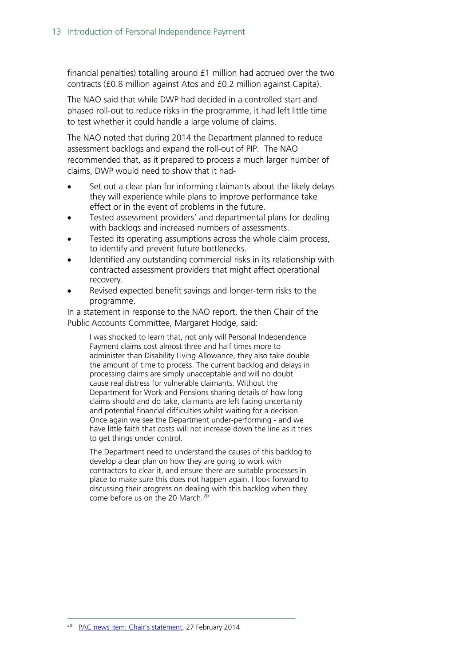financial penalties) totalling around £1 million had accrued over the two contracts (£0.8 million against Atos and £0.2 million against Capita).

The NAO said that while DWP had decided in a controlled start and phased roll-out to reduce risks in the programme, it had left little time to test whether it could handle a large volume of claims.

The NAO noted that during 2014 the Department planned to reduce assessment backlogs and expand the roll-out of PIP. The NAO recommended that, as it prepared to process a much larger number of claims, DWP would need to show that it had-

- Set out a clear plan for informing claimants about the likely delays they will experience while plans to improve performance take effect or in the event of problems in the future.
- Tested assessment providers' and departmental plans for dealing with backlogs and increased numbers of assessments.
- Tested its operating assumptions across the whole claim process, to identify and prevent future bottlenecks.
- Identified any outstanding commercial risks in its relationship with contracted assessment providers that might affect operational recovery.
- Revised expected benefit savings and longer-term risks to the programme.

In a statement in response to the NAO report, the then Chair of the Public Accounts Committee, Margaret Hodge, said:

I was shocked to learn that, not only will Personal Independence Payment claims cost almost three and half times more to administer than Disability Living Allowance, they also take double the amount of time to process. The current backlog and delays in processing claims are simply unacceptable and will no doubt cause real distress for vulnerable claimants. Without the Department for Work and Pensions sharing details of how long claims should and do take, claimants are left facing uncertainty and potential financial difficulties whilst waiting for a decision. Once again we see the Department under-performing - and we have little faith that costs will not increase down the line as it tries to get things under control.

<span id="page-12-0"></span>The Department need to understand the causes of this backlog to develop a clear plan on how they are going to work with contractors to clear it, and ensure there are suitable processes in place to make sure this does not happen again. I look forward to discussing their progress on dealing with this backlog when they come before us on the [20](#page-12-0) March.<sup>20</sup>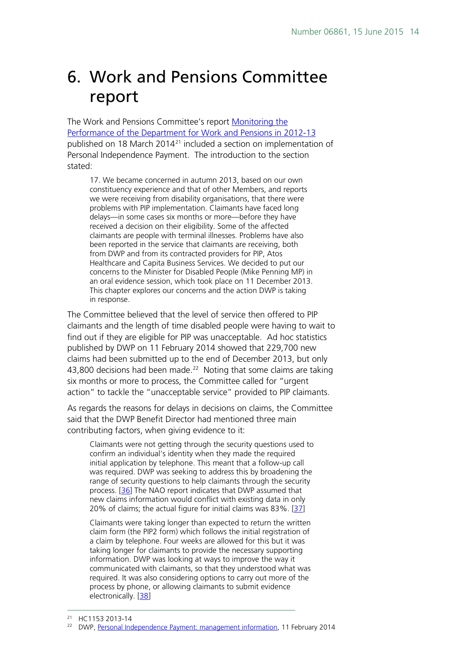### <span id="page-13-0"></span>6. Work and Pensions Committee report

The Work and Pensions Committee's report [Monitoring the](http://www.parliament.uk/business/committees/committees-a-z/commons-select/work-and-pensions-committee/news/dwp-monitoring-report/)  [Performance of the Department for Work and Pensions in 2012-13](http://www.parliament.uk/business/committees/committees-a-z/commons-select/work-and-pensions-committee/news/dwp-monitoring-report/) published on 18 March 2014<sup>[21](#page-13-1)</sup> included a section on implementation of Personal Independence Payment. The introduction to the section stated:

17. We became concerned in autumn 2013, based on our own constituency experience and that of other Members, and reports we were receiving from disability organisations, that there were problems with PIP implementation. Claimants have faced long delays—in some cases six months or more—before they have received a decision on their eligibility. Some of the affected claimants are people with terminal illnesses. Problems have also been reported in the service that claimants are receiving, both from DWP and from its contracted providers for PIP, Atos Healthcare and Capita Business Services. We decided to put our concerns to the Minister for Disabled People (Mike Penning MP) in an oral evidence session, which took place on 11 December 2013. This chapter explores our concerns and the action DWP is taking in response.

The Committee believed that the level of service then offered to PIP claimants and the length of time disabled people were having to wait to find out if they are eligible for PIP was unacceptable. Ad hoc statistics published by DWP on 11 February 2014 showed that 229,700 new claims had been submitted up to the end of December 2013, but only 43,800 decisions had been made.<sup>[22](#page-13-2)</sup> Noting that some claims are taking six months or more to process, the Committee called for "urgent action" to tackle the "unacceptable service" provided to PIP claimants.

As regards the reasons for delays in decisions on claims, the Committee said that the DWP Benefit Director had mentioned three main contributing factors, when giving evidence to it:

Claimants were not getting through the security questions used to confirm an individual's identity when they made the required initial application by telephone. This meant that a follow-up call was required. DWP was seeking to address this by broadening the range of security questions to help claimants through the security process. [\[36\]](http://www.publications.parliament.uk/pa/cm201314/cmselect/cmworpen/1153/115306.htm%23note36) The NAO report indicates that DWP assumed that new claims information would conflict with existing data in only 20% of claims; the actual figure for initial claims was 83%. [\[37\]](http://www.publications.parliament.uk/pa/cm201314/cmselect/cmworpen/1153/115306.htm%23note37)

Claimants were taking longer than expected to return the written claim form (the PIP2 form) which follows the initial registration of a claim by telephone. Four weeks are allowed for this but it was taking longer for claimants to provide the necessary supporting information. DWP was looking at ways to improve the way it communicated with claimants, so that they understood what was required. It was also considering options to carry out more of the process by phone, or allowing claimants to submit evidence electronically. [\[38\]](http://www.publications.parliament.uk/pa/cm201314/cmselect/cmworpen/1153/115306.htm%23note38)

<sup>21</sup> HC1153 2013-14 -

<span id="page-13-2"></span><span id="page-13-1"></span><sup>&</sup>lt;sup>22</sup> DWP, [Personal Independence Payment: management information,](https://www.gov.uk/government/publications/personal-independence-payment-management-information) 11 February 2014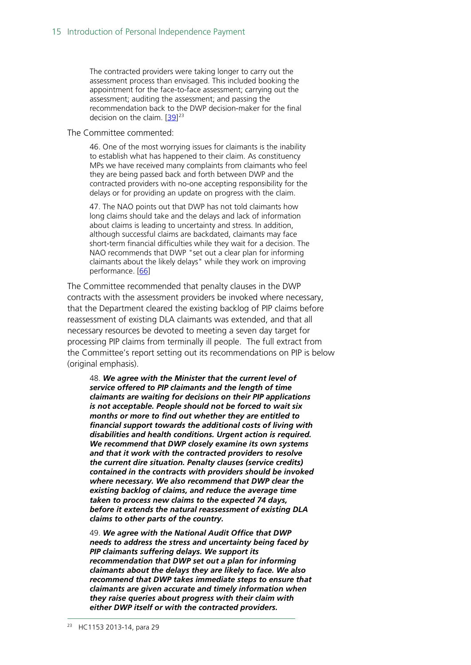The contracted providers were taking longer to carry out the assessment process than envisaged. This included booking the appointment for the face-to-face assessment; carrying out the assessment; auditing the assessment; and passing the recommendation back to the DWP decision-maker for the final decision on the claim. <u>[39</u>]<sup>[23](#page-14-0)</sup>

The Committee commented:

46. One of the most worrying issues for claimants is the inability to establish what has happened to their claim. As constituency MPs we have received many complaints from claimants who feel they are being passed back and forth between DWP and the contracted providers with no-one accepting responsibility for the delays or for providing an update on progress with the claim.

47. The NAO points out that DWP has not told claimants how long claims should take and the delays and lack of information about claims is leading to uncertainty and stress. In addition, although successful claims are backdated, claimants may face short-term financial difficulties while they wait for a decision. The NAO recommends that DWP "set out a clear plan for informing claimants about the likely delays" while they work on improving performance. [\[66\]](http://www.publications.parliament.uk/pa/cm201314/cmselect/cmworpen/1153/115306.htm%23note66) 

The Committee recommended that penalty clauses in the DWP contracts with the assessment providers be invoked where necessary, that the Department cleared the existing backlog of PIP claims before reassessment of existing DLA claimants was extended, and that all necessary resources be devoted to meeting a seven day target for processing PIP claims from terminally ill people. The full extract from the Committee's report setting out its recommendations on PIP is below (original emphasis).

48. *We agree with the Minister that the current level of service offered to PIP claimants and the length of time claimants are waiting for decisions on their PIP applications is not acceptable. People should not be forced to wait six months or more to find out whether they are entitled to financial support towards the additional costs of living with disabilities and health conditions. Urgent action is required. We recommend that DWP closely examine its own systems and that it work with the contracted providers to resolve the current dire situation. Penalty clauses (service credits) contained in the contracts with providers should be invoked where necessary. We also recommend that DWP clear the existing backlog of claims, and reduce the average time taken to process new claims to the expected 74 days, before it extends the natural reassessment of existing DLA claims to other parts of the country.* 

<span id="page-14-0"></span>49. *We agree with the National Audit Office that DWP needs to address the stress and uncertainty being faced by PIP claimants suffering delays. We support its recommendation that DWP set out a plan for informing claimants about the delays they are likely to face. We also recommend that DWP takes immediate steps to ensure that claimants are given accurate and timely information when they raise queries about progress with their claim with either DWP itself or with the contracted providers.*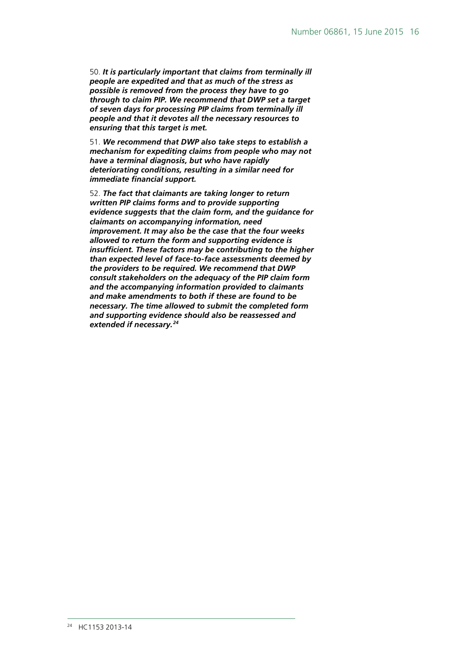50. *It is particularly important that claims from terminally ill people are expedited and that as much of the stress as possible is removed from the process they have to go through to claim PIP. We recommend that DWP set a target of seven days for processing PIP claims from terminally ill people and that it devotes all the necessary resources to ensuring that this target is met.* 

51. *We recommend that DWP also take steps to establish a mechanism for expediting claims from people who may not have a terminal diagnosis, but who have rapidly deteriorating conditions, resulting in a similar need for immediate financial support.*

<span id="page-15-0"></span>52. *The fact that claimants are taking longer to return written PIP claims forms and to provide supporting evidence suggests that the claim form, and the guidance for claimants on accompanying information, need improvement. It may also be the case that the four weeks allowed to return the form and supporting evidence is insufficient. These factors may be contributing to the higher than expected level of face-to-face assessments deemed by the providers to be required. We recommend that DWP consult stakeholders on the adequacy of the PIP claim form and the accompanying information provided to claimants and make amendments to both if these are found to be necessary. The time allowed to submit the completed form and supporting evidence should also be reassessed and extended if necessary.[24](#page-15-0)*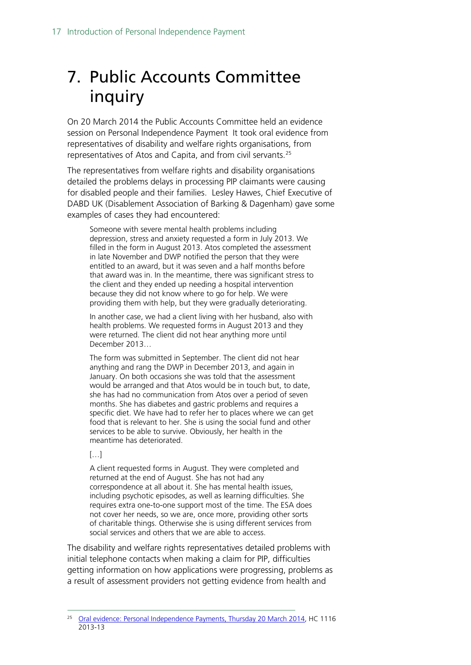## <span id="page-16-0"></span>7. Public Accounts Committee inquiry

On 20 March 2014 the Public Accounts Committee held an evidence session on Personal Independence Payment It took oral evidence from representatives of disability and welfare rights organisations, from representatives of Atos and Capita, and from civil servants.<sup>[25](#page-16-1)</sup>

The representatives from welfare rights and disability organisations detailed the problems delays in processing PIP claimants were causing for disabled people and their families. Lesley Hawes, Chief Executive of DABD UK (Disablement Association of Barking & Dagenham) gave some examples of cases they had encountered:

Someone with severe mental health problems including depression, stress and anxiety requested a form in July 2013. We filled in the form in August 2013. Atos completed the assessment in late November and DWP notified the person that they were entitled to an award, but it was seven and a half months before that award was in. In the meantime, there was significant stress to the client and they ended up needing a hospital intervention because they did not know where to go for help. We were providing them with help, but they were gradually deteriorating.

In another case, we had a client living with her husband, also with health problems. We requested forms in August 2013 and they were returned. The client did not hear anything more until December 2013…

The form was submitted in September. The client did not hear anything and rang the DWP in December 2013, and again in January. On both occasions she was told that the assessment would be arranged and that Atos would be in touch but, to date, she has had no communication from Atos over a period of seven months. She has diabetes and gastric problems and requires a specific diet. We have had to refer her to places where we can get food that is relevant to her. She is using the social fund and other services to be able to survive. Obviously, her health in the meantime has deteriorated.

#### $[...]$

A client requested forms in August. They were completed and returned at the end of August. She has not had any correspondence at all about it. She has mental health issues, including psychotic episodes, as well as learning difficulties. She requires extra one-to-one support most of the time. The ESA does not cover her needs, so we are, once more, providing other sorts of charitable things. Otherwise she is using different services from social services and others that we are able to access.

The disability and welfare rights representatives detailed problems with initial telephone contacts when making a claim for PIP, difficulties getting information on how applications were progressing, problems as a result of assessment providers not getting evidence from health and

<span id="page-16-1"></span><sup>&</sup>lt;sup>25</sup> [Oral evidence: Personal Independence Payments, Thursday 20 March 2014,](http://data.parliament.uk/writtenevidence/WrittenEvidence.svc/EvidenceHtml/7821) HC 1116 2013-13 -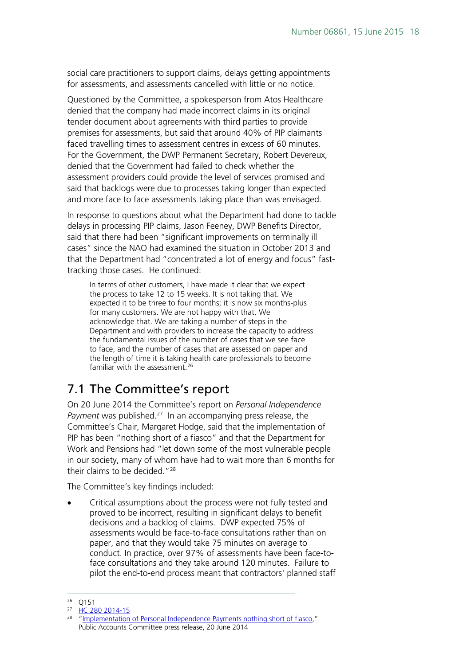social care practitioners to support claims, delays getting appointments for assessments, and assessments cancelled with little or no notice.

Questioned by the Committee, a spokesperson from Atos Healthcare denied that the company had made incorrect claims in its original tender document about agreements with third parties to provide premises for assessments, but said that around 40% of PIP claimants faced travelling times to assessment centres in excess of 60 minutes. For the Government, the DWP Permanent Secretary, Robert Devereux, denied that the Government had failed to check whether the assessment providers could provide the level of services promised and said that backlogs were due to processes taking longer than expected and more face to face assessments taking place than was envisaged.

In response to questions about what the Department had done to tackle delays in processing PIP claims, Jason Feeney, DWP Benefits Director, said that there had been "significant improvements on terminally ill cases" since the NAO had examined the situation in October 2013 and that the Department had "concentrated a lot of energy and focus" fasttracking those cases. He continued:

In terms of other customers, I have made it clear that we expect the process to take 12 to 15 weeks. It is not taking that. We expected it to be three to four months; it is now six months-plus for many customers. We are not happy with that. We acknowledge that. We are taking a number of steps in the Department and with providers to increase the capacity to address the fundamental issues of the number of cases that we see face to face, and the number of cases that are assessed on paper and the length of time it is taking health care professionals to become familiar with the assessment.<sup>[26](#page-17-1)</sup>

### <span id="page-17-0"></span>7.1 The Committee's report

On 20 June 2014 the Committee's report on *Personal Independence Payment* was published.[27](#page-17-2) In an accompanying press release, the Committee's Chair, Margaret Hodge, said that the implementation of PIP has been "nothing short of a fiasco" and that the Department for Work and Pensions had "let down some of the most vulnerable people in our society, many of whom have had to wait more than 6 months for their claims to be decided."<sup>[28](#page-17-3)</sup>

The Committee's key findings included:

• Critical assumptions about the process were not fully tested and proved to be incorrect, resulting in significant delays to benefit decisions and a backlog of claims. DWP expected 75% of assessments would be face-to-face consultations rather than on paper, and that they would take 75 minutes on average to conduct. In practice, over 97% of assessments have been face-toface consultations and they take around 120 minutes. Failure to pilot the end-to-end process meant that contractors' planned staff

<sup>26</sup> Q151 -

<span id="page-17-2"></span><span id="page-17-1"></span><sup>&</sup>lt;sup>27</sup> [HC 280 2014-15](http://www.publications.parliament.uk/pa/cm201415/cmselect/cmpubacc/280/28002.htm)

<span id="page-17-3"></span><sup>&</sup>lt;sup>28</sup> ["Implementation of Personal Independence Payments nothing short of fiasco,](http://www.parliament.uk/business/committees/committees-a-z/commons-select/public-accounts-committee/news/personal-independence-payments-substantive/)" Public Accounts Committee press release, 20 June 2014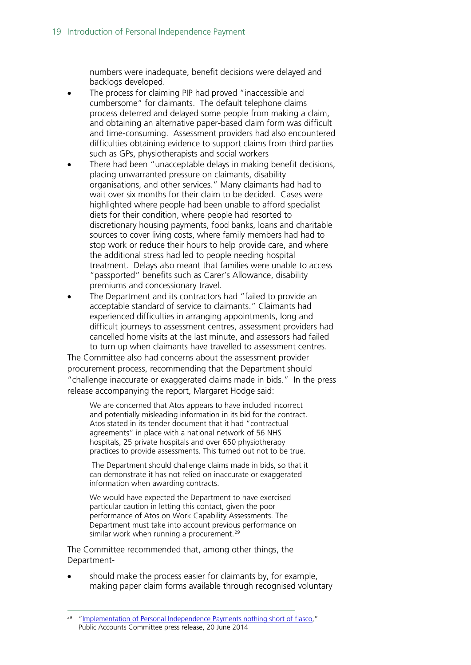numbers were inadequate, benefit decisions were delayed and backlogs developed.

- The process for claiming PIP had proved "inaccessible and cumbersome" for claimants. The default telephone claims process deterred and delayed some people from making a claim, and obtaining an alternative paper-based claim form was difficult and time-consuming. Assessment providers had also encountered difficulties obtaining evidence to support claims from third parties such as GPs, physiotherapists and social workers
- There had been "unacceptable delays in making benefit decisions, placing unwarranted pressure on claimants, disability organisations, and other services." Many claimants had had to wait over six months for their claim to be decided. Cases were highlighted where people had been unable to afford specialist diets for their condition, where people had resorted to discretionary housing payments, food banks, loans and charitable sources to cover living costs, where family members had had to stop work or reduce their hours to help provide care, and where the additional stress had led to people needing hospital treatment. Delays also meant that families were unable to access "passported" benefits such as Carer's Allowance, disability premiums and concessionary travel.
- The Department and its contractors had "failed to provide an acceptable standard of service to claimants." Claimants had experienced difficulties in arranging appointments, long and difficult journeys to assessment centres, assessment providers had cancelled home visits at the last minute, and assessors had failed to turn up when claimants have travelled to assessment centres.

The Committee also had concerns about the assessment provider procurement process, recommending that the Department should "challenge inaccurate or exaggerated claims made in bids." In the press release accompanying the report, Margaret Hodge said:

We are concerned that Atos appears to have included incorrect and potentially misleading information in its bid for the contract. Atos stated in its tender document that it had "contractual agreements" in place with a national network of 56 NHS hospitals, 25 private hospitals and over 650 physiotherapy practices to provide assessments. This turned out not to be true.

The Department should challenge claims made in bids, so that it can demonstrate it has not relied on inaccurate or exaggerated information when awarding contracts.

We would have expected the Department to have exercised particular caution in letting this contact, given the poor performance of Atos on Work Capability Assessments. The Department must take into account previous performance on similar work when running a procurement. $29$ 

The Committee recommended that, among other things, the Department-

• should make the process easier for claimants by, for example, making paper claim forms available through recognised voluntary

<span id="page-18-0"></span><sup>&</sup>lt;sup>29</sup> ["Implementation of Personal Independence Payments nothing short of fiasco,](http://www.parliament.uk/business/committees/committees-a-z/commons-select/public-accounts-committee/news/personal-independence-payments-substantive/)" Public Accounts Committee press release, 20 June 2014 -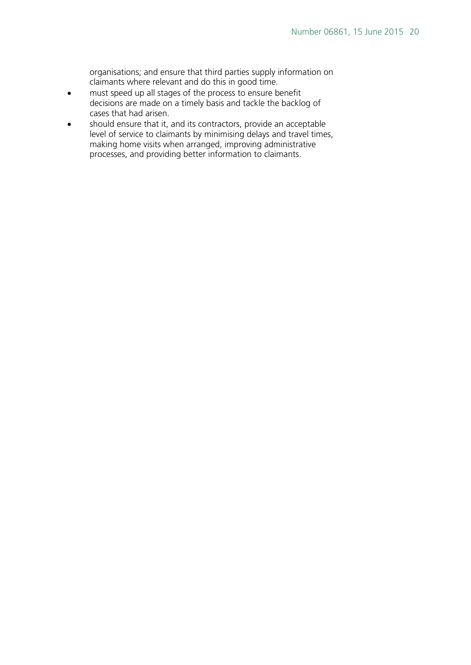organisations; and ensure that third parties supply information on claimants where relevant and do this in good time.

- must speed up all stages of the process to ensure benefit decisions are made on a timely basis and tackle the backlog of cases that had arisen.
- should ensure that it, and its contractors, provide an acceptable level of service to claimants by minimising delays and travel times, making home visits when arranged, improving administrative processes, and providing better information to claimants.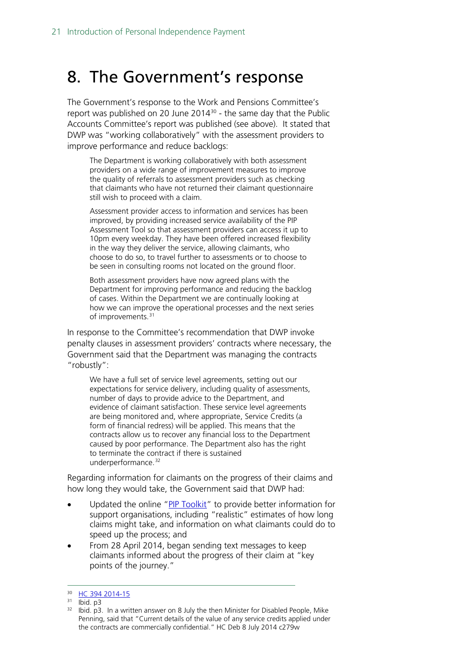### <span id="page-20-0"></span>8. The Government's response

The Government's response to the Work and Pensions Committee's report was published on 20 June  $2014^{30}$  $2014^{30}$  $2014^{30}$  - the same day that the Public Accounts Committee's report was published (see above). It stated that DWP was "working collaboratively" with the assessment providers to improve performance and reduce backlogs:

The Department is working collaboratively with both assessment providers on a wide range of improvement measures to improve the quality of referrals to assessment providers such as checking that claimants who have not returned their claimant questionnaire still wish to proceed with a claim.

Assessment provider access to information and services has been improved, by providing increased service availability of the PIP Assessment Tool so that assessment providers can access it up to 10pm every weekday. They have been offered increased flexibility in the way they deliver the service, allowing claimants, who choose to do so, to travel further to assessments or to choose to be seen in consulting rooms not located on the ground floor.

Both assessment providers have now agreed plans with the Department for improving performance and reducing the backlog of cases. Within the Department we are continually looking at how we can improve the operational processes and the next series of improvements.<sup>[31](#page-20-2)</sup>

In response to the Committee's recommendation that DWP invoke penalty clauses in assessment providers' contracts where necessary, the Government said that the Department was managing the contracts "robustly":

We have a full set of service level agreements, setting out our expectations for service delivery, including quality of assessments, number of days to provide advice to the Department, and evidence of claimant satisfaction. These service level agreements are being monitored and, where appropriate, Service Credits (a form of financial redress) will be applied. This means that the contracts allow us to recover any financial loss to the Department caused by poor performance. The Department also has the right to terminate the contract if there is sustained underperformance.<sup>[32](#page-20-3)</sup>

Regarding information for claimants on the progress of their claims and how long they would take, the Government said that DWP had:

- Updated the online ["PIP Toolkit"](https://www.gov.uk/government/publications/the-personal-independence-payment-toolkit-for-partners/the-personal-independence-payment-pip-toolkit-for-partners) to provide better information for support organisations, including "realistic" estimates of how long claims might take, and information on what claimants could do to speed up the process; and
- From 28 April 2014, began sending text messages to keep claimants informed about the progress of their claim at "key points of the journey."

 $\overline{a}$ 

<span id="page-20-1"></span><sup>30</sup> [HC 394 2014-15](http://www.publications.parliament.uk/pa/cm201415/cmselect/cmworpen/394/394.pdf)

<span id="page-20-2"></span> $31$  Ibid. p3

<span id="page-20-3"></span> $32$  Ibid. p3. In a written answer on 8 July the then Minister for Disabled People, Mike Penning, said that "Current details of the value of any service credits applied under the contracts are commercially confidential." HC Deb 8 July 2014 c279w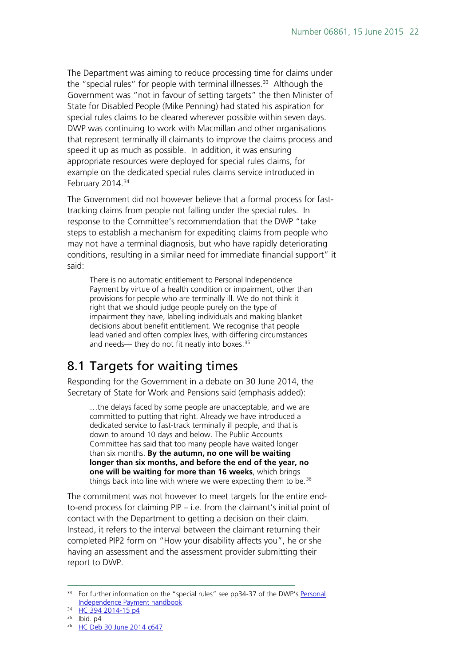The Department was aiming to reduce processing time for claims under the "special rules" for people with terminal illnesses.<sup>33</sup> Although the Government was "not in favour of setting targets" the then Minister of State for Disabled People (Mike Penning) had stated his aspiration for special rules claims to be cleared wherever possible within seven days. DWP was continuing to work with Macmillan and other organisations that represent terminally ill claimants to improve the claims process and speed it up as much as possible. In addition, it was ensuring appropriate resources were deployed for special rules claims, for example on the dedicated special rules claims service introduced in February 2014.<sup>34</sup>

The Government did not however believe that a formal process for fasttracking claims from people not falling under the special rules. In response to the Committee's recommendation that the DWP "take steps to establish a mechanism for expediting claims from people who may not have a terminal diagnosis, but who have rapidly deteriorating conditions, resulting in a similar need for immediate financial support" it said:

There is no automatic entitlement to Personal Independence Payment by virtue of a health condition or impairment, other than provisions for people who are terminally ill. We do not think it right that we should judge people purely on the type of impairment they have, labelling individuals and making blanket decisions about benefit entitlement. We recognise that people lead varied and often complex lives, with differing circumstances and needs— they do not fit neatly into boxes. $35$ 

### <span id="page-21-0"></span>8.1 Targets for waiting times

Responding for the Government in a debate on 30 June 2014, the Secretary of State for Work and Pensions said (emphasis added):

…the delays faced by some people are unacceptable, and we are committed to putting that right. Already we have introduced a dedicated service to fast-track terminally ill people, and that is down to around 10 days and below. The Public Accounts Committee has said that too many people have waited longer than six months. **By the autumn, no one will be waiting longer than six months, and before the end of the year, no one will be waiting for more than 16 weeks**, which brings things back into line with where we were expecting them to be.<sup>[36](#page-21-4)</sup>

The commitment was not however to meet targets for the entire endto-end process for claiming PIP – i.e. from the claimant's initial point of contact with the Department to getting a decision on their claim. Instead, it refers to the interval between the claimant returning their completed PIP2 form on "How your disability affects you", he or she having an assessment and the assessment provider submitting their report to DWP.

<span id="page-21-1"></span><sup>&</sup>lt;sup>33</sup> For further information on the "special rules" see pp34-37 of the DWP's Personal [Independence Payment handbook](https://www.gov.uk/government/uploads/system/uploads/attachment_data/file/348736/pip-handbook-aug-14.pdf)  $\overline{a}$ 

<sup>34</sup> [HC 394 2014-15](http://www.publications.parliament.uk/pa/cm201415/cmselect/cmworpen/394/394.pdf) p4

<span id="page-21-3"></span><span id="page-21-2"></span> $35$  Ibid. p4

<span id="page-21-4"></span><sup>36</sup> [HC Deb 30 June 2014 c647](http://www.publications.parliament.uk/pa/cm201415/cmhansrd/cm140630/debtext/140630-0002.htm%2314063033000173)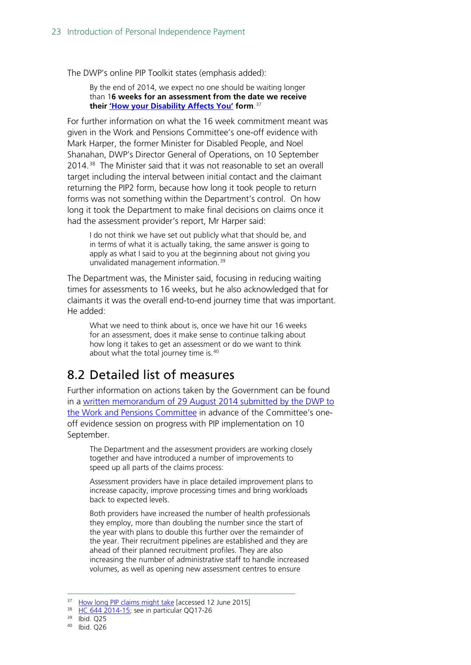The DWP's online PIP Toolkit states (emphasis added):

By the end of 2014, we expect no one should be waiting longer than 1**6 weeks for an assessment from the date we receive their ['How your Disability Affects You'](https://www.gov.uk/government/publications/how-your-disability-affects-you) form**. [37](#page-22-1)

For further information on what the 16 week commitment meant was given in the Work and Pensions Committee's one-off evidence with Mark Harper, the former Minister for Disabled People, and Noel Shanahan, DWP's Director General of Operations, on 10 September 2014.<sup>[38](#page-22-2)</sup> The Minister said that it was not reasonable to set an overall target including the interval between initial contact and the claimant returning the PIP2 form, because how long it took people to return forms was not something within the Department's control. On how long it took the Department to make final decisions on claims once it had the assessment provider's report, Mr Harper said:

I do not think we have set out publicly what that should be, and in terms of what it is actually taking, the same answer is going to apply as what I said to you at the beginning about not giving you unvalidated management information.[39](#page-22-3)

The Department was, the Minister said, focusing in reducing waiting times for assessments to 16 weeks, but he also acknowledged that for claimants it was the overall end-to-end journey time that was important. He added:

What we need to think about is, once we have hit our 16 weeks for an assessment, does it make sense to continue talking about how long it takes to get an assessment or do we want to think about what the total journey time is.<sup>[40](#page-22-4)</sup>

### <span id="page-22-0"></span>8.2 Detailed list of measures

Further information on actions taken by the Government can be found in a [written memorandum of 29 August 2014 submitted by the DWP to](http://data.parliament.uk/writtenevidence/committeeevidence.svc/evidencedocument/work-and-pensions-committee/progress-with-personal-independence-payment-implementation/oral/12481.pdf)  [the Work and Pensions Committee](http://data.parliament.uk/writtenevidence/committeeevidence.svc/evidencedocument/work-and-pensions-committee/progress-with-personal-independence-payment-implementation/oral/12481.pdf) in advance of the Committee's oneoff evidence session on progress with PIP implementation on 10 September.

The Department and the assessment providers are working closely together and have introduced a number of improvements to speed up all parts of the claims process:

Assessment providers have in place detailed improvement plans to increase capacity, improve processing times and bring workloads back to expected levels.

Both providers have increased the number of health professionals they employ, more than doubling the number since the start of the year with plans to double this further over the remainder of the year. Their recruitment pipelines are established and they are ahead of their planned recruitment profiles. They are also increasing the number of administrative staff to handle increased volumes, as well as opening new assessment centres to ensure

-

<sup>&</sup>lt;sup>37</sup> [How long PIP claims might take](https://www.gov.uk/government/publications/the-personal-independence-payment-toolkit-for-partners/the-personal-independence-payment-pip-toolkit-for-partners%23how-long-pip-claims-might-take) [accessed 12 June 2015]

<span id="page-22-2"></span><span id="page-22-1"></span><sup>38</sup> [HC 644 2014-15;](http://data.parliament.uk/writtenevidence/committeeevidence.svc/evidencedocument/work-and-pensions-committee/progress-with-personal-independence-payment-implementation/oral/12481.pdf) see in particular QQ17-26

<sup>39</sup> Ibid. Q25

<span id="page-22-4"></span><span id="page-22-3"></span><sup>40</sup> Ibid. Q26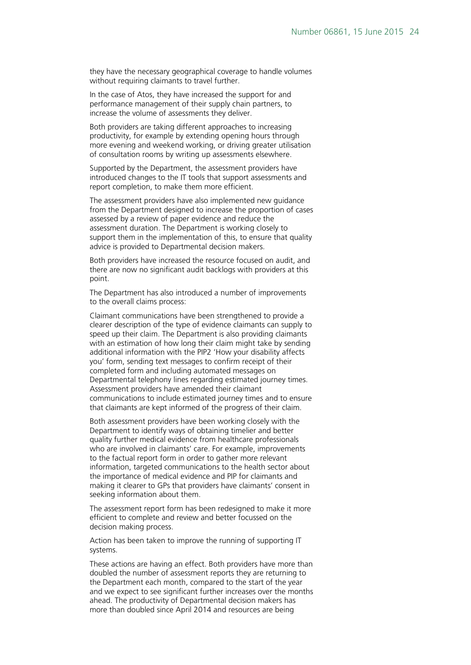they have the necessary geographical coverage to handle volumes without requiring claimants to travel further.

In the case of Atos, they have increased the support for and performance management of their supply chain partners, to increase the volume of assessments they deliver.

Both providers are taking different approaches to increasing productivity, for example by extending opening hours through more evening and weekend working, or driving greater utilisation of consultation rooms by writing up assessments elsewhere.

Supported by the Department, the assessment providers have introduced changes to the IT tools that support assessments and report completion, to make them more efficient.

The assessment providers have also implemented new guidance from the Department designed to increase the proportion of cases assessed by a review of paper evidence and reduce the assessment duration. The Department is working closely to support them in the implementation of this, to ensure that quality advice is provided to Departmental decision makers.

Both providers have increased the resource focused on audit, and there are now no significant audit backlogs with providers at this point.

The Department has also introduced a number of improvements to the overall claims process:

Claimant communications have been strengthened to provide a clearer description of the type of evidence claimants can supply to speed up their claim. The Department is also providing claimants with an estimation of how long their claim might take by sending additional information with the PIP2 'How your disability affects you' form, sending text messages to confirm receipt of their completed form and including automated messages on Departmental telephony lines regarding estimated journey times. Assessment providers have amended their claimant communications to include estimated journey times and to ensure that claimants are kept informed of the progress of their claim.

Both assessment providers have been working closely with the Department to identify ways of obtaining timelier and better quality further medical evidence from healthcare professionals who are involved in claimants' care. For example, improvements to the factual report form in order to gather more relevant information, targeted communications to the health sector about the importance of medical evidence and PIP for claimants and making it clearer to GPs that providers have claimants' consent in seeking information about them.

The assessment report form has been redesigned to make it more efficient to complete and review and better focussed on the decision making process.

Action has been taken to improve the running of supporting IT systems.

These actions are having an effect. Both providers have more than doubled the number of assessment reports they are returning to the Department each month, compared to the start of the year and we expect to see significant further increases over the months ahead. The productivity of Departmental decision makers has more than doubled since April 2014 and resources are being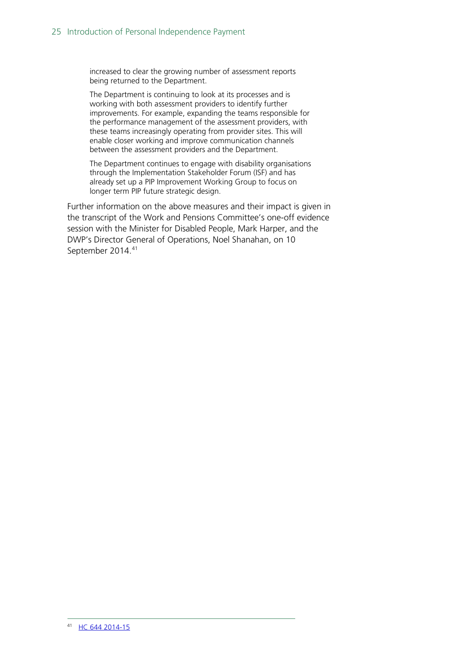increased to clear the growing number of assessment reports being returned to the Department.

The Department is continuing to look at its processes and is working with both assessment providers to identify further improvements. For example, expanding the teams responsible for the performance management of the assessment providers, with these teams increasingly operating from provider sites. This will enable closer working and improve communication channels between the assessment providers and the Department.

The Department continues to engage with disability organisations through the Implementation Stakeholder Forum (ISF) and has already set up a PIP Improvement Working Group to focus on longer term PIP future strategic design.

<span id="page-24-0"></span>Further information on the above measures and their impact is given in the transcript of the Work and Pensions Committee's one-off evidence session with the Minister for Disabled People, Mark Harper, and the DWP's Director General of Operations, Noel Shanahan, on 10 September 2014.[41](#page-24-0)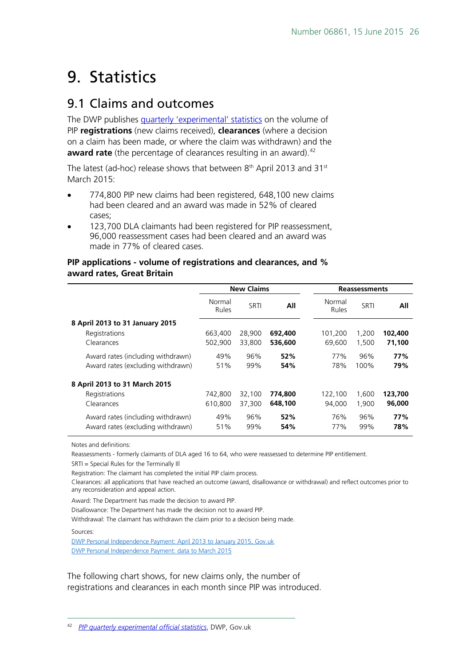## <span id="page-25-0"></span>9. Statistics

### <span id="page-25-1"></span>9.1 Claims and outcomes

The DWP publishes [quarterly 'experimental' statistics](https://www.gov.uk/government/collections/personal-independence-payment-statistics%23pip-quarterly-experimental-official-statistics) on the volume of PIP **registrations** (new claims received), **clearances** (where a decision on a claim has been made, or where the claim was withdrawn) and the **award rate** (the percentage of clearances resulting in an award).<sup>[42](#page-25-2)</sup>

The latest (ad-hoc) release shows that between 8<sup>th</sup> April 2013 and 31<sup>st</sup> March 2015:

- 774,800 PIP new claims had been registered, 648,100 new claims had been cleared and an award was made in 52% of cleared cases;
- 123,700 DLA claimants had been registered for PIP reassessment, 96,000 reassessment cases had been cleared and an award was made in 77% of cleared cases.

#### **PIP applications - volume of registrations and clearances, and % award rates, Great Britain**

|                                   | <b>New Claims</b> |        |         |                 | <b>Reassessments</b> |         |  |  |
|-----------------------------------|-------------------|--------|---------|-----------------|----------------------|---------|--|--|
|                                   | Normal<br>Rules   | SRTI   | All     | Normal<br>Rules | SRTI                 | All     |  |  |
| 8 April 2013 to 31 January 2015   |                   |        |         |                 |                      |         |  |  |
| Registrations                     | 663,400           | 28,900 | 692,400 | 101,200         | 1.200                | 102,400 |  |  |
| Clearances                        | 502,900           | 33,800 | 536,600 | 69,600          | 1,500                | 71,100  |  |  |
| Award rates (including withdrawn) | 49%               | 96%    | 52%     | 77%             | 96%                  | 77%     |  |  |
| Award rates (excluding withdrawn) | 51%               | 99%    | 54%     | 78%             | 100%                 | 79%     |  |  |
| 8 April 2013 to 31 March 2015     |                   |        |         |                 |                      |         |  |  |
| Registrations                     | 742,800           | 32,100 | 774,800 | 122,100         | 1,600                | 123,700 |  |  |
| Clearances                        | 610,800           | 37,300 | 648,100 | 94,000          | 1,900                | 96,000  |  |  |
| Award rates (including withdrawn) | 49%               | 96%    | 52%     | 76%             | 96%                  | 77%     |  |  |
| Award rates (excluding withdrawn) | 51%               | 99%    | 54%     | 77%             | 99%                  | 78%     |  |  |

Notes and definitions:

Reassessments - formerly claimants of DLA aged 16 to 64, who were reassessed to determine PIP entitlement.

SRTI = Special Rules for the Terminally Ill

Registration: The claimant has completed the initial PIP claim process.

Clearances: all applications that have reached an outcome (award, disallowance or withdrawal) and reflect outcomes prior to any reconsideration and appeal action.

Award: The Department has made the decision to award PIP.

Disallowance: The Department has made the decision not to award PIP.

Withdrawal: The claimant has withdrawn the claim prior to a decision being made.

Sources:

<span id="page-25-2"></span> $\overline{a}$ 

[DWP Personal Independence Payment: April 2013 to January 2015, Gov.uk](https://www.gov.uk/government/collections/personal-independence-payment-statistics%23pip-quarterly-experimental-official-statistics) [DWP Personal Independence Payment: data to March 2015](https://www.gov.uk/government/statistics/personal-independence-payment-data-to-march-2015)

The following chart shows, for new claims only, the number of registrations and clearances in each month since PIP was introduced.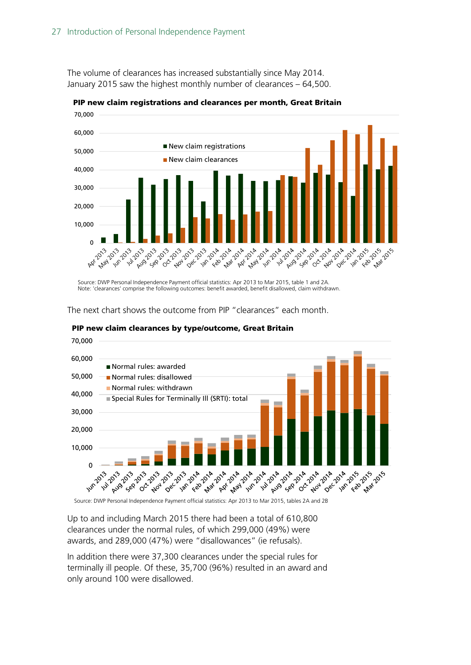The volume of clearances has increased substantially since May 2014. January 2015 saw the highest monthly number of clearances – 64,500.



PIP new claim registrations and clearances per month, Great Britain

Source: DWP Personal Independence Payment official statistics: Apr 2013 to Mar 2015, table 1 and 2A. Note: 'clearances' comprise the following outcomes: benefit awarded, benefit disallowed, claim withdrawn.

The next chart shows the outcome from PIP "clearances" each month.



#### PIP new claim clearances by type/outcome, Great Britain

Up to and including March 2015 there had been a total of 610,800 clearances under the normal rules, of which 299,000 (49%) were awards, and 289,000 (47%) were "disallowances" (ie refusals).

In addition there were 37,300 clearances under the special rules for terminally ill people. Of these, 35,700 (96%) resulted in an award and only around 100 were disallowed.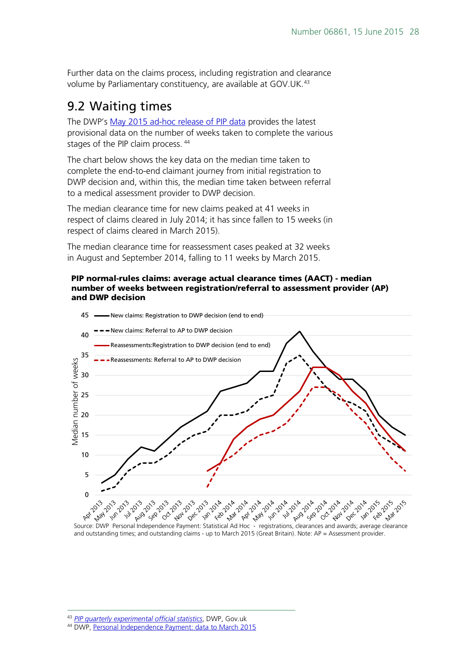Further data on the claims process, including registration and clearance volume by Parliamentary constituency, are available at GOV.UK.<sup>43</sup>

### <span id="page-27-0"></span>9.2 Waiting times

The DWP's [May 2015 ad-hoc release](https://www.gov.uk/government/statistics/personal-independence-payment-data-to-march-2015) of PIP data provides the latest provisional data on the number of weeks taken to complete the various stages of the PIP claim process.<sup>[44](#page-27-2)</sup>

The chart below shows the key data on the median time taken to complete the end-to-end claimant journey from initial registration to DWP decision and, within this, the median time taken between referral to a medical assessment provider to DWP decision.

The median clearance time for new claims peaked at 41 weeks in respect of claims cleared in July 2014; it has since fallen to 15 weeks (in respect of claims cleared in March 2015).

The median clearance time for reassessment cases peaked at 32 weeks in August and September 2014, falling to 11 weeks by March 2015.

#### PIP normal-rules claims: average actual clearance times (AACT) - median number of weeks between registration/referral to assessment provider (AP) and DWP decision



and outstanding times; and outstanding claims - up to March 2015 (Great Britain). Note: AP = Assessment provider.

<sup>43</sup> *[PIP quarterly experimental official statistics](https://www.gov.uk/government/collections/personal-independence-payment-statistics%23pip-quarterly-experimental-official-statistics)*, DWP, Gov.uk

-

<span id="page-27-2"></span><span id="page-27-1"></span><sup>44</sup> DWP[, Personal Independence Payment: data to March 2015](https://www.gov.uk/government/statistics/personal-independence-payment-data-to-march-2015)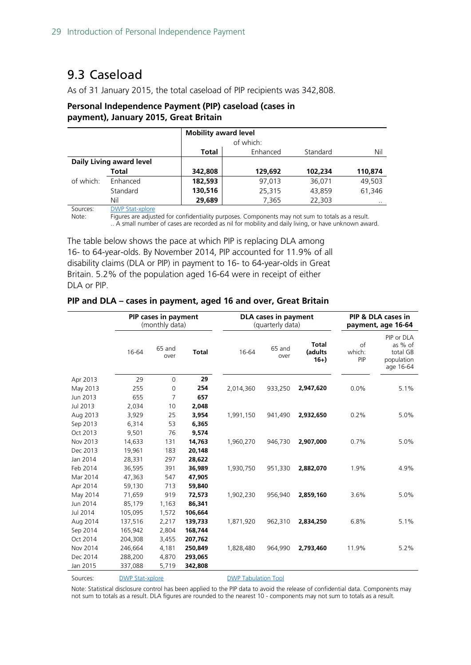### <span id="page-28-0"></span>9.3 Caseload

As of 31 January 2015, the total caseload of PIP recipients was 342,808.

#### **Personal Independence Payment (PIP) caseload (cases in payment), January 2015, Great Britain**

| <b>Mobility award level</b> |                          |         |           |          |          |  |  |  |
|-----------------------------|--------------------------|---------|-----------|----------|----------|--|--|--|
|                             |                          |         | of which: |          |          |  |  |  |
|                             |                          | Total   | Enhanced  | Standard | Nil      |  |  |  |
|                             | Daily Living award level |         |           |          |          |  |  |  |
|                             | <b>Total</b>             | 342,808 | 129,692   | 102,234  | 110,874  |  |  |  |
| of which:                   | Enhanced                 | 182,593 | 97.013    | 36,071   | 49,503   |  |  |  |
|                             | Standard                 | 130,516 | 25,315    | 43.859   | 61,346   |  |  |  |
|                             | Nil                      | 29,689  | 7,365     | 22,303   | $\cdots$ |  |  |  |
| Sources:                    | <b>DWP Stat-xplore</b>   |         |           |          |          |  |  |  |

Note: Figures are adjusted for confidentiality purposes. Components may not sum to totals as a result.

.. A small number of cases are recorded as nil for mobility and daily living, or have unknown award.

The table below shows the pace at which PIP is replacing DLA among 16- to 64-year-olds. By November 2014, PIP accounted for 11.9% of all disability claims (DLA or PIP) in payment to 16- to 64-year-olds in Great Britain. 5.2% of the population aged 16-64 were in receipt of either DLA or PIP.

#### **PIP and DLA – cases in payment, aged 16 and over, Great Britain**

|          | PIP cases in payment<br>(monthly data) |                     |              |                            | <b>DLA cases in payment</b><br>(quarterly data) |                                  | <b>PIP &amp; DLA cases in</b><br>payment, age 16-64 |                                                              |
|----------|----------------------------------------|---------------------|--------------|----------------------------|-------------------------------------------------|----------------------------------|-----------------------------------------------------|--------------------------------------------------------------|
|          | 16-64                                  | 65 and<br>over      | <b>Total</b> | 16-64                      | 65 and<br>over                                  | <b>Total</b><br>(adults<br>$16+$ | of<br>which:<br><b>PIP</b>                          | PIP or DLA<br>as % of<br>total GB<br>population<br>age 16-64 |
| Apr 2013 | 29                                     | 0                   | 29           |                            |                                                 |                                  |                                                     |                                                              |
| May 2013 | 255                                    | $\mathsf{O}\xspace$ | 254          | 2,014,360                  | 933,250                                         | 2,947,620                        | 0.0%                                                | 5.1%                                                         |
| Jun 2013 | 655                                    | $\overline{7}$      | 657          |                            |                                                 |                                  |                                                     |                                                              |
| Jul 2013 | 2,034                                  | 10                  | 2,048        |                            |                                                 |                                  |                                                     |                                                              |
| Aug 2013 | 3,929                                  | 25                  | 3,954        | 1,991,150                  | 941,490                                         | 2,932,650                        | 0.2%                                                | 5.0%                                                         |
| Sep 2013 | 6,314                                  | 53                  | 6,365        |                            |                                                 |                                  |                                                     |                                                              |
| Oct 2013 | 9,501                                  | 76                  | 9,574        |                            |                                                 |                                  |                                                     |                                                              |
| Nov 2013 | 14,633                                 | 131                 | 14,763       | 1,960,270                  | 946,730                                         | 2,907,000                        | 0.7%                                                | 5.0%                                                         |
| Dec 2013 | 19,961                                 | 183                 | 20,148       |                            |                                                 |                                  |                                                     |                                                              |
| Jan 2014 | 28,331                                 | 297                 | 28,622       |                            |                                                 |                                  |                                                     |                                                              |
| Feb 2014 | 36,595                                 | 391                 | 36,989       | 1,930,750                  | 951,330                                         | 2,882,070                        | 1.9%                                                | 4.9%                                                         |
| Mar 2014 | 47,363                                 | 547                 | 47,905       |                            |                                                 |                                  |                                                     |                                                              |
| Apr 2014 | 59,130                                 | 713                 | 59,840       |                            |                                                 |                                  |                                                     |                                                              |
| May 2014 | 71,659                                 | 919                 | 72,573       | 1,902,230                  | 956,940                                         | 2,859,160                        | 3.6%                                                | 5.0%                                                         |
| Jun 2014 | 85,179                                 | 1,163               | 86,341       |                            |                                                 |                                  |                                                     |                                                              |
| Jul 2014 | 105,095                                | 1,572               | 106,664      |                            |                                                 |                                  |                                                     |                                                              |
| Aug 2014 | 137,516                                | 2,217               | 139,733      | 1,871,920                  | 962,310                                         | 2,834,250                        | 6.8%                                                | 5.1%                                                         |
| Sep 2014 | 165,942                                | 2,804               | 168,744      |                            |                                                 |                                  |                                                     |                                                              |
| Oct 2014 | 204,308                                | 3,455               | 207,762      |                            |                                                 |                                  |                                                     |                                                              |
| Nov 2014 | 246,664                                | 4,181               | 250,849      | 1,828,480                  | 964,990                                         | 2,793,460                        | 11.9%                                               | 5.2%                                                         |
| Dec 2014 | 288,200                                | 4,870               | 293,065      |                            |                                                 |                                  |                                                     |                                                              |
| Jan 2015 | 337,088                                | 5,719               | 342,808      |                            |                                                 |                                  |                                                     |                                                              |
| Sources: | <b>DWP Stat-xplore</b>                 |                     |              | <b>DWP Tabulation Tool</b> |                                                 |                                  |                                                     |                                                              |

Note: Statistical disclosure control has been applied to the PIP data to avoid the release of confidential data. Components may not sum to totals as a result. DLA figures are rounded to the nearest 10 - components may not sum to totals as a result.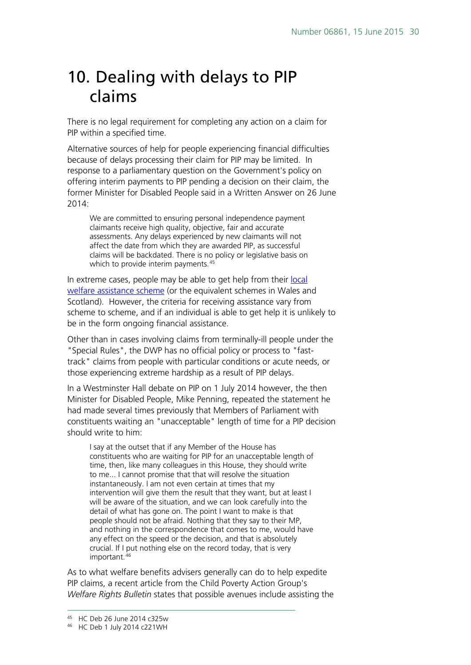### <span id="page-29-0"></span>10. Dealing with delays to PIP claims

There is no legal requirement for completing any action on a claim for PIP within a specified time.

Alternative sources of help for people experiencing financial difficulties because of delays processing their claim for PIP may be limited. In response to a parliamentary question on the Government's policy on offering interim payments to PIP pending a decision on their claim, the former Minister for Disabled People said in a Written Answer on 26 June 2014:

We are committed to ensuring personal independence payment claimants receive high quality, objective, fair and accurate assessments. Any delays experienced by new claimants will not affect the date from which they are awarded PIP, as successful claims will be backdated. There is no policy or legislative basis on which to provide interim payments.<sup>[45](#page-29-1)</sup>

In extreme cases, people may be able to get help from their local [welfare assistance scheme](http://www.cpag.org.uk/lwas) (or the equivalent schemes in Wales and Scotland). However, the criteria for receiving assistance vary from scheme to scheme, and if an individual is able to get help it is unlikely to be in the form ongoing financial assistance.

Other than in cases involving claims from terminally-ill people under the "Special Rules", the DWP has no official policy or process to "fasttrack" claims from people with particular conditions or acute needs, or those experiencing extreme hardship as a result of PIP delays.

In a Westminster Hall debate on PIP on 1 July 2014 however, the then Minister for Disabled People, Mike Penning, repeated the statement he had made several times previously that Members of Parliament with constituents waiting an "unacceptable" length of time for a PIP decision should write to him:

I say at the outset that if any Member of the House has constituents who are waiting for PIP for an unacceptable length of time, then, like many colleagues in this House, they should write to me... I cannot promise that that will resolve the situation instantaneously. I am not even certain at times that my intervention will give them the result that they want, but at least I will be aware of the situation, and we can look carefully into the detail of what has gone on. The point I want to make is that people should not be afraid. Nothing that they say to their MP, and nothing in the correspondence that comes to me, would have any effect on the speed or the decision, and that is absolutely crucial. If I put nothing else on the record today, that is very important.<sup>[46](#page-29-2)</sup>

As to what welfare benefits advisers generally can do to help expedite PIP claims, a recent article from the Child Poverty Action Group's *Welfare Rights Bulletin* states that possible avenues include assisting the

-

<span id="page-29-1"></span><sup>45</sup> HC Deb 26 June 2014 c325w

<span id="page-29-2"></span><sup>46</sup> HC Deb 1 July 2014 c221WH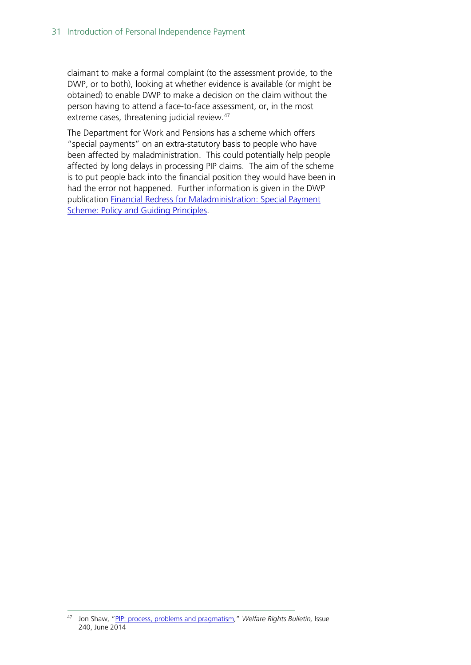claimant to make a formal complaint (to the assessment provide, to the DWP, or to both), looking at whether evidence is available (or might be obtained) to enable DWP to make a decision on the claim without the person having to attend a face-to-face assessment, or, in the most extreme cases, threatening judicial review.<sup>[47](#page-30-0)</sup>

The Department for Work and Pensions has a scheme which offers "special payments" on an extra-statutory basis to people who have been affected by maladministration. This could potentially help people affected by long delays in processing PIP claims. The aim of the scheme is to put people back into the financial position they would have been in had the error not happened. Further information is given in the DWP publication [Financial Redress for Maladministration: Special Payment](https://www.gov.uk/government/publications/compensation-for-poor-service-a-guide-for-dwp-staff)  [Scheme: Policy and Guiding Principles.](https://www.gov.uk/government/publications/compensation-for-poor-service-a-guide-for-dwp-staff)

<span id="page-30-0"></span><sup>47</sup> Jon Shaw, ["PIP: process, problems and pragmatism,](http://cpag.org.uk/content/pip-process-problems-and-pragmatism)" *Welfare Rights Bulletin,* Issue 240, June 2014 -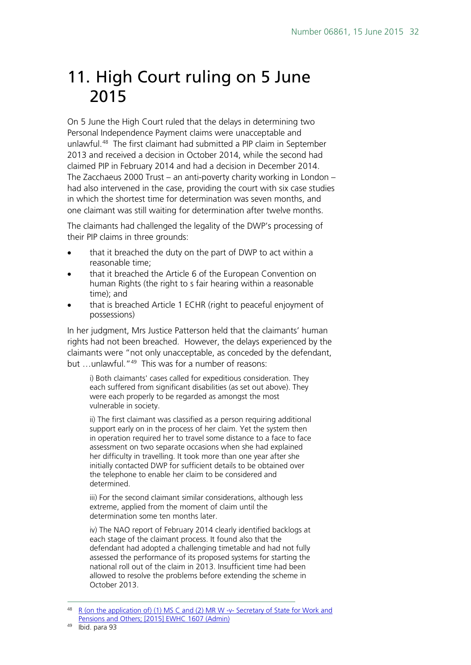## <span id="page-31-0"></span>11. High Court ruling on 5 June 2015

On 5 June the High Court ruled that the delays in determining two Personal Independence Payment claims were unacceptable and unlawful.[48](#page-31-1) The first claimant had submitted a PIP claim in September 2013 and received a decision in October 2014, while the second had claimed PIP in February 2014 and had a decision in December 2014. The Zacchaeus 2000 Trust – an anti-poverty charity working in London – had also intervened in the case, providing the court with six case studies in which the shortest time for determination was seven months, and one claimant was still waiting for determination after twelve months.

The claimants had challenged the legality of the DWP's processing of their PIP claims in three grounds:

- that it breached the duty on the part of DWP to act within a reasonable time;
- that it breached the Article 6 of the European Convention on human Rights (the right to s fair hearing within a reasonable time); and
- that is breached Article 1 ECHR (right to peaceful enjoyment of possessions)

In her judgment, Mrs Justice Patterson held that the claimants' human rights had not been breached. However, the delays experienced by the claimants were "not only unacceptable, as conceded by the defendant, but ...unlawful."<sup>49</sup> This was for a number of reasons:

i) Both claimants' cases called for expeditious consideration. They each suffered from significant disabilities (as set out above). They were each properly to be regarded as amongst the most vulnerable in society.

ii) The first claimant was classified as a person requiring additional support early on in the process of her claim. Yet the system then in operation required her to travel some distance to a face to face assessment on two separate occasions when she had explained her difficulty in travelling. It took more than one year after she initially contacted DWP for sufficient details to be obtained over the telephone to enable her claim to be considered and determined.

iii) For the second claimant similar considerations, although less extreme, applied from the moment of claim until the determination some ten months later.

iv) The NAO report of February 2014 clearly identified backlogs at each stage of the claimant process. It found also that the defendant had adopted a challenging timetable and had not fully assessed the performance of its proposed systems for starting the national roll out of the claim in 2013. Insufficient time had been allowed to resolve the problems before extending the scheme in October 2013.

<span id="page-31-1"></span><sup>48</sup> [R \(on the application of\) \(1\) MS C and \(2\) MR W -v-](http://www.bailii.org/ew/cases/EWHC/Admin/2015/1607.html) Secretary of State for Work and [Pensions and Others; \[2015\] EWHC 1607 \(Admin\)](http://www.bailii.org/ew/cases/EWHC/Admin/2015/1607.html) -

<span id="page-31-2"></span><sup>49</sup> Ibid. para 93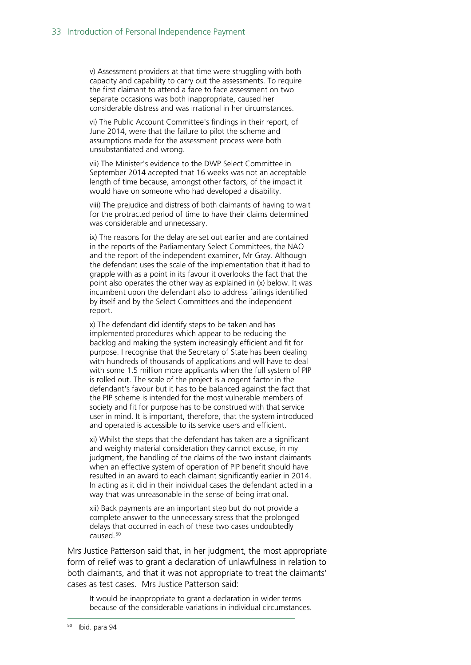v) Assessment providers at that time were struggling with both capacity and capability to carry out the assessments. To require the first claimant to attend a face to face assessment on two separate occasions was both inappropriate, caused her considerable distress and was irrational in her circumstances.

vi) The Public Account Committee's findings in their report, of June 2014, were that the failure to pilot the scheme and assumptions made for the assessment process were both unsubstantiated and wrong.

vii) The Minister's evidence to the DWP Select Committee in September 2014 accepted that 16 weeks was not an acceptable length of time because, amongst other factors, of the impact it would have on someone who had developed a disability.

viii) The prejudice and distress of both claimants of having to wait for the protracted period of time to have their claims determined was considerable and unnecessary.

ix) The reasons for the delay are set out earlier and are contained in the reports of the Parliamentary Select Committees, the NAO and the report of the independent examiner, Mr Gray. Although the defendant uses the scale of the implementation that it had to grapple with as a point in its favour it overlooks the fact that the point also operates the other way as explained in (x) below. It was incumbent upon the defendant also to address failings identified by itself and by the Select Committees and the independent report.

x) The defendant did identify steps to be taken and has implemented procedures which appear to be reducing the backlog and making the system increasingly efficient and fit for purpose. I recognise that the Secretary of State has been dealing with hundreds of thousands of applications and will have to deal with some 1.5 million more applicants when the full system of PIP is rolled out. The scale of the project is a cogent factor in the defendant's favour but it has to be balanced against the fact that the PIP scheme is intended for the most vulnerable members of society and fit for purpose has to be construed with that service user in mind. It is important, therefore, that the system introduced and operated is accessible to its service users and efficient.

xi) Whilst the steps that the defendant has taken are a significant and weighty material consideration they cannot excuse, in my judgment, the handling of the claims of the two instant claimants when an effective system of operation of PIP benefit should have resulted in an award to each claimant significantly earlier in 2014. In acting as it did in their individual cases the defendant acted in a way that was unreasonable in the sense of being irrational.

xii) Back payments are an important step but do not provide a complete answer to the unnecessary stress that the prolonged delays that occurred in each of these two cases undoubtedly caused.[50](#page-32-0)

Mrs Justice Patterson said that, in her judgment, the most appropriate form of relief was to grant a declaration of unlawfulness in relation to both claimants, and that it was not appropriate to treat the claimants' cases as test cases. Mrs Justice Patterson said:

<span id="page-32-0"></span>It would be inappropriate to grant a declaration in wider terms because of the considerable variations in individual circumstances.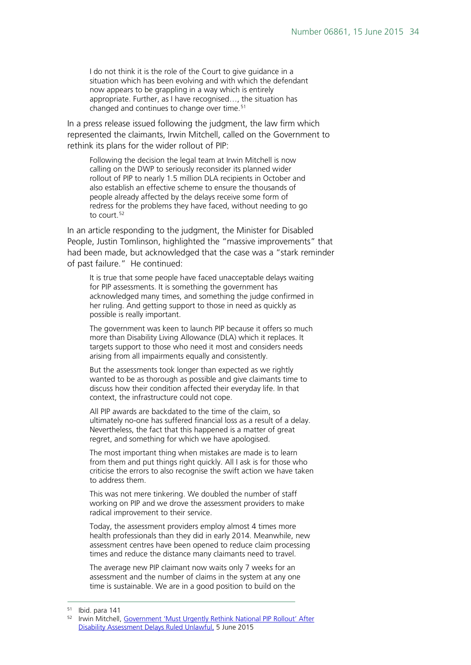I do not think it is the role of the Court to give guidance in a situation which has been evolving and with which the defendant now appears to be grappling in a way which is entirely appropriate. Further, as I have recognised…, the situation has changed and continues to change over time.<sup>[51](#page-33-0)</sup>

In a press release issued following the judgment, the law firm which represented the claimants, Irwin Mitchell, called on the Government to rethink its plans for the wider rollout of PIP:

Following the decision the legal team at Irwin Mitchell is now calling on the DWP to seriously reconsider its planned wider rollout of PIP to nearly 1.5 million DLA recipients in October and also establish an effective scheme to ensure the thousands of people already affected by the delays receive some form of redress for the problems they have faced, without needing to go to court.<sup>[52](#page-33-1)</sup>

In an article responding to the judgment, the Minister for Disabled People, Justin Tomlinson, highlighted the "massive improvements" that had been made, but acknowledged that the case was a "stark reminder of past failure." He continued:

It is true that some people have faced unacceptable delays waiting for PIP assessments. It is something the government has acknowledged many times, and something the judge confirmed in her ruling. And getting support to those in need as quickly as possible is really important.

The government was keen to launch PIP because it offers so much more than Disability Living Allowance (DLA) which it replaces. It targets support to those who need it most and considers needs arising from all impairments equally and consistently.

But the assessments took longer than expected as we rightly wanted to be as thorough as possible and give claimants time to discuss how their condition affected their everyday life. In that context, the infrastructure could not cope.

All PIP awards are backdated to the time of the claim, so ultimately no-one has suffered financial loss as a result of a delay. Nevertheless, the fact that this happened is a matter of great regret, and something for which we have apologised.

The most important thing when mistakes are made is to learn from them and put things right quickly. All I ask is for those who criticise the errors to also recognise the swift action we have taken to address them.

This was not mere tinkering. We doubled the number of staff working on PIP and we drove the assessment providers to make radical improvement to their service.

Today, the assessment providers employ almost 4 times more health professionals than they did in early 2014. Meanwhile, new assessment centres have been opened to reduce claim processing times and reduce the distance many claimants need to travel.

The average new PIP claimant now waits only 7 weeks for an assessment and the number of claims in the system at any one time is sustainable. We are in a good position to build on the

-

<span id="page-33-1"></span><span id="page-33-0"></span> $51$  Ibid. para 141

<sup>52</sup> Irwin Mitchell, [Government 'Must Urgently Rethink National PIP Rollout' After](http://www.irwinmitchell.com/newsandmedia/2015/june/government-must-urgently-rethink-national-pip-rollout-after-disability-as-delays-ruled-unlawful-jq-703862)  [Disability Assessment Delays Ruled Unlawful,](http://www.irwinmitchell.com/newsandmedia/2015/june/government-must-urgently-rethink-national-pip-rollout-after-disability-as-delays-ruled-unlawful-jq-703862) 5 June 2015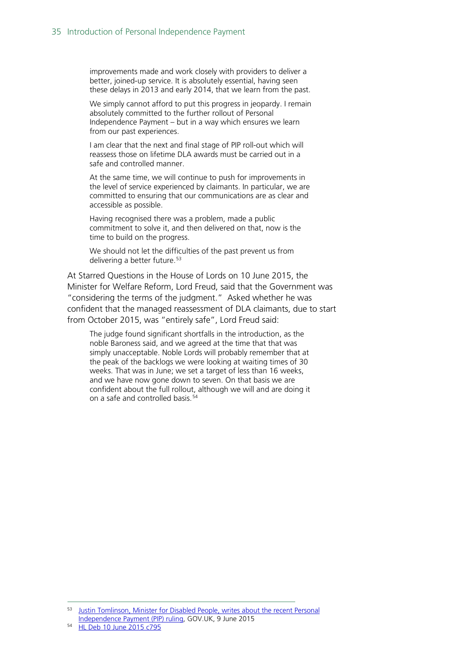improvements made and work closely with providers to deliver a better, joined-up service. It is absolutely essential, having seen these delays in 2013 and early 2014, that we learn from the past.

We simply cannot afford to put this progress in jeopardy. I remain absolutely committed to the further rollout of Personal Independence Payment – but in a way which ensures we learn from our past experiences.

I am clear that the next and final stage of PIP roll-out which will reassess those on lifetime DLA awards must be carried out in a safe and controlled manner.

At the same time, we will continue to push for improvements in the level of service experienced by claimants. In particular, we are committed to ensuring that our communications are as clear and accessible as possible.

Having recognised there was a problem, made a public commitment to solve it, and then delivered on that, now is the time to build on the progress.

We should not let the difficulties of the past prevent us from delivering a better future.<sup>[53](#page-34-0)</sup>

At Starred Questions in the House of Lords on 10 June 2015, the Minister for Welfare Reform, Lord Freud, said that the Government was "considering the terms of the judgment." Asked whether he was confident that the managed reassessment of DLA claimants, due to start from October 2015, was "entirely safe", Lord Freud said:

The judge found significant shortfalls in the introduction, as the noble Baroness said, and we agreed at the time that that was simply unacceptable. Noble Lords will probably remember that at the peak of the backlogs we were looking at waiting times of 30 weeks. That was in June; we set a target of less than 16 weeks, and we have now gone down to seven. On that basis we are confident about the full rollout, although we will and are doing it on a safe and controlled basis.<sup>[54](#page-34-1)</sup>

<span id="page-34-0"></span><sup>53</sup> Justin Tomlinson, Minister for Disabled People, writes about the recent Personal [Independence Payment \(PIP\) ruling,](https://www.gov.uk/government/speeches/justin-tomlinson-minister-for-disabled-people-writes-about-the-recent-personal-independence-payment-pip-ruling) GOV.UK, 9 June 2015 -

<span id="page-34-1"></span><sup>54</sup> [HL Deb 10 June 2015 c795](http://www.publications.parliament.uk/pa/ld201516/ldhansrd/text/150610-0001.htm%2315061054000333)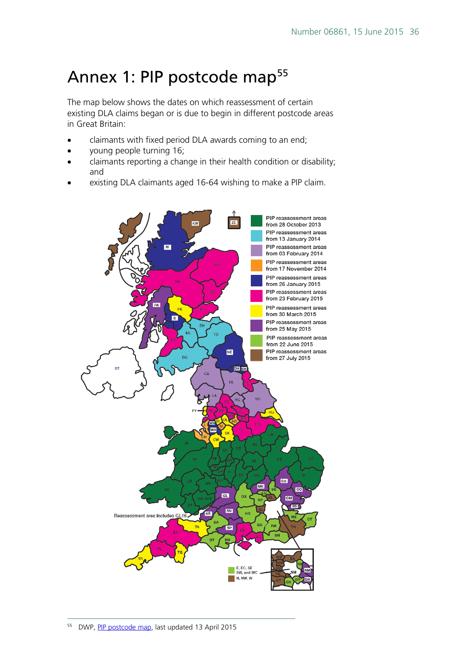### Annex 1: PIP postcode map<sup>[55](#page-35-0)</sup>

The map below shows the dates on which reassessment of certain existing DLA claims began or is due to begin in different postcode areas in Great Britain:

- claimants with fixed period DLA awards coming to an end;
- young people turning 16;
- claimants reporting a change in their health condition or disability; and
- existing DLA claimants aged 16-64 wishing to make a PIP claim.

<span id="page-35-0"></span>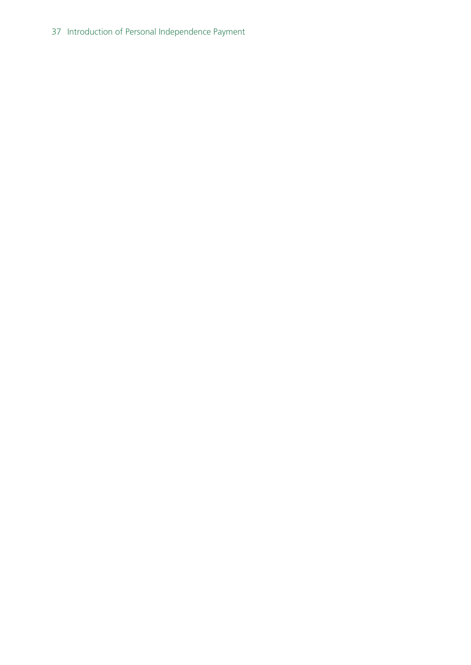Introduction of Personal Independence Payment